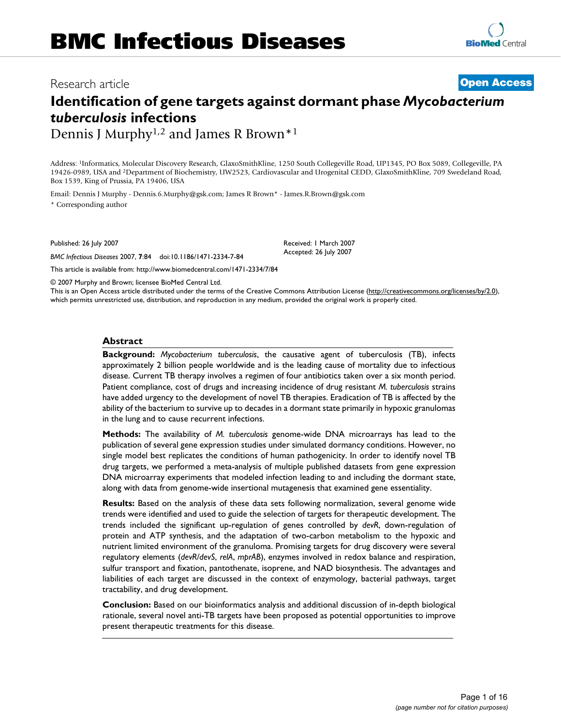# **Identification of gene targets against dormant phase** *Mycobacterium tuberculosis* **infections**

Dennis J Murphy<sup>1,2</sup> and James R Brown<sup>\*1</sup>

Address: 1Informatics, Molecular Discovery Research, GlaxoSmithKline, 1250 South Collegeville Road, UP1345, PO Box 5089, Collegeville, PA 19426-0989, USA and 2Department of Biochemistry, UW2523, Cardiovascular and Urogenital CEDD, GlaxoSmithKline, 709 Swedeland Road, Box 1539, King of Prussia, PA 19406, USA

Email: Dennis J Murphy - Dennis.6.Murphy@gsk.com; James R Brown\* - James.R.Brown@gsk.com \* Corresponding author

Published: 26 July 2007

*BMC Infectious Diseases* 2007, **7**:84 doi:10.1186/1471-2334-7-84

[This article is available from: http://www.biomedcentral.com/1471-2334/7/84](http://www.biomedcentral.com/1471-2334/7/84)

Received: 1 March 2007 Accepted: 26 July 2007

© 2007 Murphy and Brown; licensee BioMed Central Ltd.

This is an Open Access article distributed under the terms of the Creative Commons Attribution License [\(http://creativecommons.org/licenses/by/2.0\)](http://creativecommons.org/licenses/by/2.0), which permits unrestricted use, distribution, and reproduction in any medium, provided the original work is properly cited.

#### **Abstract**

**Background:** *Mycobacterium tuberculosis*, the causative agent of tuberculosis (TB), infects approximately 2 billion people worldwide and is the leading cause of mortality due to infectious disease. Current TB therapy involves a regimen of four antibiotics taken over a six month period. Patient compliance, cost of drugs and increasing incidence of drug resistant *M. tuberculosis* strains have added urgency to the development of novel TB therapies. Eradication of TB is affected by the ability of the bacterium to survive up to decades in a dormant state primarily in hypoxic granulomas in the lung and to cause recurrent infections.

**Methods:** The availability of *M. tuberculosis* genome-wide DNA microarrays has lead to the publication of several gene expression studies under simulated dormancy conditions. However, no single model best replicates the conditions of human pathogenicity. In order to identify novel TB drug targets, we performed a meta-analysis of multiple published datasets from gene expression DNA microarray experiments that modeled infection leading to and including the dormant state, along with data from genome-wide insertional mutagenesis that examined gene essentiality.

**Results:** Based on the analysis of these data sets following normalization, several genome wide trends were identified and used to guide the selection of targets for therapeutic development. The trends included the significant up-regulation of genes controlled by *devR*, down-regulation of protein and ATP synthesis, and the adaptation of two-carbon metabolism to the hypoxic and nutrient limited environment of the granuloma. Promising targets for drug discovery were several regulatory elements (*devR/devS*, *relA*, *mprAB*), enzymes involved in redox balance and respiration, sulfur transport and fixation, pantothenate, isoprene, and NAD biosynthesis. The advantages and liabilities of each target are discussed in the context of enzymology, bacterial pathways, target tractability, and drug development.

**Conclusion:** Based on our bioinformatics analysis and additional discussion of in-depth biological rationale, several novel anti-TB targets have been proposed as potential opportunities to improve present therapeutic treatments for this disease.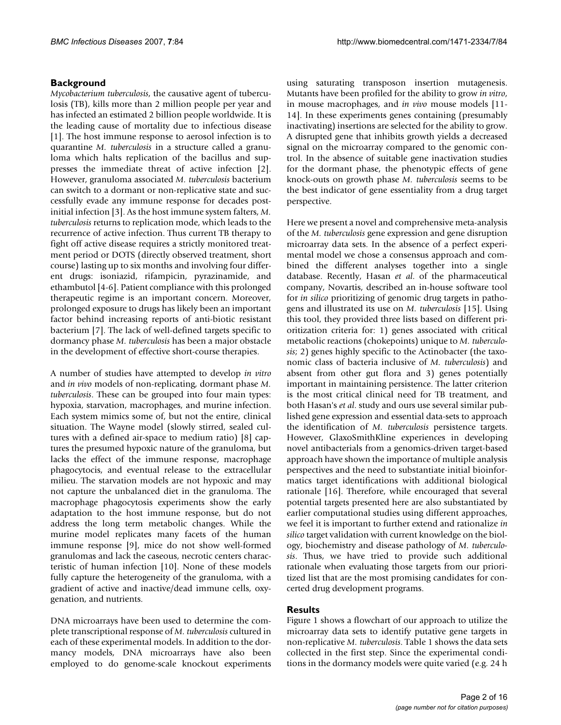# **Background**

*Mycobacterium tuberculosis*, the causative agent of tuberculosis (TB), kills more than 2 million people per year and has infected an estimated 2 billion people worldwide. It is the leading cause of mortality due to infectious disease [1]. The host immune response to aerosol infection is to quarantine *M. tuberculosis* in a structure called a granuloma which halts replication of the bacillus and suppresses the immediate threat of active infection [2]. However, granuloma associated *M. tuberculosis* bacterium can switch to a dormant or non-replicative state and successfully evade any immune response for decades postinitial infection [3]. As the host immune system falters, *M. tuberculosis* returns to replication mode, which leads to the recurrence of active infection. Thus current TB therapy to fight off active disease requires a strictly monitored treatment period or DOTS (directly observed treatment, short course) lasting up to six months and involving four different drugs: isoniazid, rifampicin, pyrazinamide, and ethambutol [4-6]. Patient compliance with this prolonged therapeutic regime is an important concern. Moreover, prolonged exposure to drugs has likely been an important factor behind increasing reports of anti-biotic resistant bacterium [7]. The lack of well-defined targets specific to dormancy phase *M. tuberculosis* has been a major obstacle in the development of effective short-course therapies.

A number of studies have attempted to develop *in vitro* and *in vivo* models of non-replicating, dormant phase *M. tuberculosis*. These can be grouped into four main types: hypoxia, starvation, macrophages, and murine infection. Each system mimics some of, but not the entire, clinical situation. The Wayne model (slowly stirred, sealed cultures with a defined air-space to medium ratio) [8] captures the presumed hypoxic nature of the granuloma, but lacks the effect of the immune response, macrophage phagocytocis, and eventual release to the extracellular milieu. The starvation models are not hypoxic and may not capture the unbalanced diet in the granuloma. The macrophage phagocytosis experiments show the early adaptation to the host immune response, but do not address the long term metabolic changes. While the murine model replicates many facets of the human immune response [9], mice do not show well-formed granulomas and lack the caseous, necrotic centers characteristic of human infection [10]. None of these models fully capture the heterogeneity of the granuloma, with a gradient of active and inactive/dead immune cells, oxygenation, and nutrients.

DNA microarrays have been used to determine the complete transcriptional response of *M. tuberculosis* cultured in each of these experimental models. In addition to the dormancy models, DNA microarrays have also been employed to do genome-scale knockout experiments using saturating transposon insertion mutagenesis. Mutants have been profiled for the ability to grow *in vitro*, in mouse macrophages, and *in vivo* mouse models [11- 14]. In these experiments genes containing (presumably inactivating) insertions are selected for the ability to grow. A disrupted gene that inhibits growth yields a decreased signal on the microarray compared to the genomic control. In the absence of suitable gene inactivation studies for the dormant phase, the phenotypic effects of gene knock-outs on growth phase *M. tuberculosis* seems to be the best indicator of gene essentiality from a drug target perspective.

Here we present a novel and comprehensive meta-analysis of the *M. tuberculosis* gene expression and gene disruption microarray data sets. In the absence of a perfect experimental model we chose a consensus approach and combined the different analyses together into a single database. Recently, Hasan *et al*. of the pharmaceutical company, Novartis, described an in-house software tool for *in silico* prioritizing of genomic drug targets in pathogens and illustrated its use on *M. tuberculosis* [15]. Using this tool, they provided three lists based on different prioritization criteria for: 1) genes associated with critical metabolic reactions (chokepoints) unique to *M. tuberculosis*; 2) genes highly specific to the Actinobacter (the taxonomic class of bacteria inclusive of *M. tuberculosis*) and absent from other gut flora and 3) genes potentially important in maintaining persistence. The latter criterion is the most critical clinical need for TB treatment, and both Hasan's *et al*. study and ours use several similar published gene expression and essential data-sets to approach the identification of *M. tuberculosis* persistence targets. However, GlaxoSmithKline experiences in developing novel antibacterials from a genomics-driven target-based approach have shown the importance of multiple analysis perspectives and the need to substantiate initial bioinformatics target identifications with additional biological rationale [16]. Therefore, while encouraged that several potential targets presented here are also substantiated by earlier computational studies using different approaches, we feel it is important to further extend and rationalize *in silico* target validation with current knowledge on the biology, biochemistry and disease pathology of *M. tuberculosis*. Thus, we have tried to provide such additional rationale when evaluating those targets from our prioritized list that are the most promising candidates for concerted drug development programs.

# **Results**

Figure 1 shows a flowchart of our approach to utilize the microarray data sets to identify putative gene targets in non-replicative *M. tuberculosis*. Table 1 shows the data sets collected in the first step. Since the experimental conditions in the dormancy models were quite varied (e.g. 24 h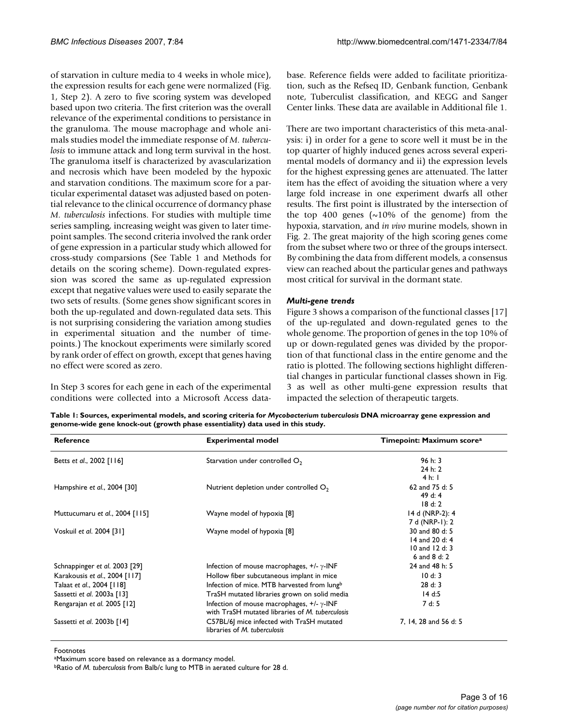of starvation in culture media to 4 weeks in whole mice), the expression results for each gene were normalized (Fig. 1, Step 2). A zero to five scoring system was developed based upon two criteria. The first criterion was the overall relevance of the experimental conditions to persistance in the granuloma. The mouse macrophage and whole animals studies model the immediate response of *M. tuberculosis* to immune attack and long term survival in the host. The granuloma itself is characterized by avascularization and necrosis which have been modeled by the hypoxic and starvation conditions. The maximum score for a particular experimental dataset was adjusted based on potential relevance to the clinical occurrence of dormancy phase *M. tuberculosis* infections. For studies with multiple time series sampling, increasing weight was given to later timepoint samples. The second criteria involved the rank order of gene expression in a particular study which allowed for cross-study comparsions (See Table 1 and Methods for details on the scoring scheme). Down-regulated expression was scored the same as up-regulated expression except that negative values were used to easily separate the two sets of results. (Some genes show significant scores in both the up-regulated and down-regulated data sets. This is not surprising considering the variation among studies in experimental situation and the number of timepoints.) The knockout experiments were similarly scored by rank order of effect on growth, except that genes having no effect were scored as zero.

In Step 3 scores for each gene in each of the experimental conditions were collected into a Microsoft Access database. Reference fields were added to facilitate prioritization, such as the Refseq ID, Genbank function, Genbank note, Tuberculist classification, and KEGG and Sanger Center links. These data are available in Additional file 1.

There are two important characteristics of this meta-analysis: i) in order for a gene to score well it must be in the top quarter of highly induced genes across several experimental models of dormancy and ii) the expression levels for the highest expressing genes are attenuated. The latter item has the effect of avoiding the situation where a very large fold increase in one experiment dwarfs all other results. The first point is illustrated by the intersection of the top 400 genes  $(\sim 10\%$  of the genome) from the hypoxia, starvation, and *in vivo* murine models, shown in Fig. 2. The great majority of the high scoring genes come from the subset where two or three of the groups intersect. By combining the data from different models, a consensus view can reached about the particular genes and pathways most critical for survival in the dormant state.

## *Multi-gene trends*

Figure 3 shows a comparison of the functional classes [17] of the up-regulated and down-regulated genes to the whole genome. The proportion of genes in the top 10% of up or down-regulated genes was divided by the proportion of that functional class in the entire genome and the ratio is plotted. The following sections highlight differential changes in particular functional classes shown in Fig. 3 as well as other multi-gene expression results that impacted the selection of therapeutic targets.

**Table 1: Sources, experimental models, and scoring criteria for** *Mycobacterium tuberculosis* **DNA microarray gene expression and genome-wide gene knock-out (growth phase essentiality) data used in this study.**

| <b>Reference</b>               | <b>Experimental model</b>                                                                            | Timepoint: Maximum score <sup>a</sup> |
|--------------------------------|------------------------------------------------------------------------------------------------------|---------------------------------------|
| Betts et al., 2002 [116]       | Starvation under controlled $O_2$                                                                    | 96 h: 3                               |
|                                |                                                                                                      | 24 h: 2                               |
|                                |                                                                                                      | 4 h: I                                |
| Hampshire et al., 2004 [30]    | Nutrient depletion under controlled $O2$                                                             | 62 and 75 d: 5                        |
|                                |                                                                                                      | 49 d: $4$                             |
|                                |                                                                                                      | 18 d: 2                               |
| Muttucumaru et al., 2004 [115] | Wayne model of hypoxia [8]                                                                           | 14 d (NRP-2): 4                       |
|                                |                                                                                                      | 7 d (NRP-1): 2                        |
| Voskuil et al. 2004 [31]       | Wayne model of hypoxia [8]                                                                           | 30 and 80 d: 5                        |
|                                |                                                                                                      | 14 and 20 d: 4                        |
|                                |                                                                                                      | 10 and 12 d: 3                        |
|                                |                                                                                                      | 6 and 8 d: 2                          |
| Schnappinger et al. 2003 [29]  | Infection of mouse macrophages, $+/- \gamma$ -INF                                                    | 24 and 48 h: 5                        |
| Karakousis et al., 2004 [117]  | Hollow fiber subcutaneous implant in mice                                                            | 10 d: 3                               |
| Talaat et al., 2004 [118]      | Infection of mice. MTB harvested from lung <sup>b</sup>                                              | 28 d: 3                               |
| Sassetti et al. 2003a [13]     | TraSH mutated libraries grown on solid media                                                         | 14d:5                                 |
| Rengarajan et al. 2005 [12]    | Infection of mouse macrophages, $+/- \gamma$ -INF<br>with TraSH mutated libraries of M. tuberculosis | 7 d: 5                                |
| Sassetti et al. 2003b [14]     | C57BL/6] mice infected with TraSH mutated<br>libraries of M. tuberculosis                            | 7, 14, 28 and 56 d: 5                 |

#### Footnotes

aMaximum score based on relevance as a dormancy model.

bRatio of *M. tuberculosis* from Balb/c lung to MTB in aerated culture for 28 d.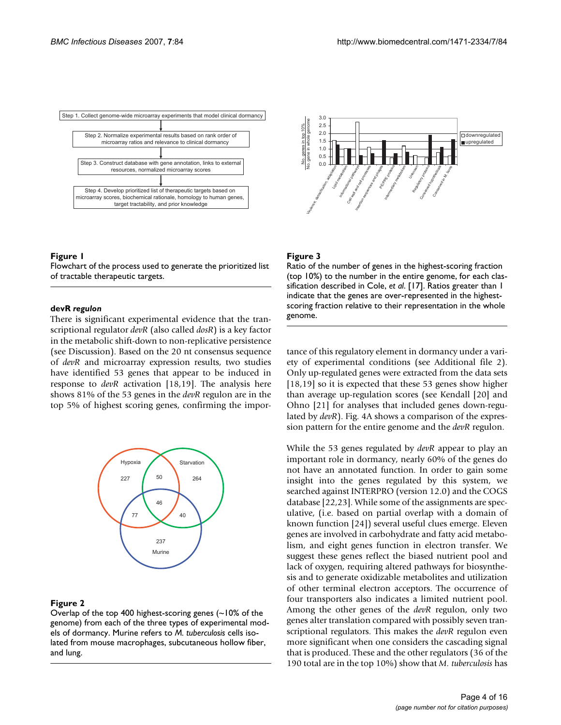

#### Figure 1

Flowchart of the process used to generate the prioritized list of tractable therapeutic targets.

#### **devR** *regulon*

There is significant experimental evidence that the transcriptional regulator *devR* (also called *dosR*) is a key factor in the metabolic shift-down to non-replicative persistence (see Discussion). Based on the 20 nt consensus sequence of *devR* and microarray expression results, two studies have identified 53 genes that appear to be induced in response to *devR* activation [18,19]. The analysis here shows 81% of the 53 genes in the *devR* regulon are in the top 5% of highest scoring genes, confirming the impor-



#### Figure 2

Overlap of the top 400 highest-scoring genes (~10% of the genome) from each of the three types of experimental models of dormancy. Murine refers to *M. tuberculosis* cells isolated from mouse macrophages, subcutaneous hollow fiber, and lung.



#### Figure 3

Ratio of the number of genes in the highest-scoring fraction (top 10%) to the number in the entire genome, for each classification described in Cole, *et al*. [17]. Ratios greater than 1 indicate that the genes are over-represented in the highestscoring fraction relative to their representation in the whole genome.

tance of this regulatory element in dormancy under a variety of experimental conditions (see Additional file 2). Only up-regulated genes were extracted from the data sets [18,19] so it is expected that these 53 genes show higher than average up-regulation scores (see Kendall [20] and Ohno [21] for analyses that included genes down-regulated by *devR*). Fig. 4A shows a comparison of the expression pattern for the entire genome and the *devR* regulon.

While the 53 genes regulated by *devR* appear to play an important role in dormancy, nearly 60% of the genes do not have an annotated function. In order to gain some insight into the genes regulated by this system, we searched against INTERPRO (version 12.0) and the COGS database [22,23]. While some of the assignments are speculative, (i.e. based on partial overlap with a domain of known function [24]) several useful clues emerge. Eleven genes are involved in carbohydrate and fatty acid metabolism, and eight genes function in electron transfer. We suggest these genes reflect the biased nutrient pool and lack of oxygen, requiring altered pathways for biosynthesis and to generate oxidizable metabolites and utilization of other terminal electron acceptors. The occurrence of four transporters also indicates a limited nutrient pool. Among the other genes of the *devR* regulon, only two genes alter translation compared with possibly seven transcriptional regulators. This makes the *devR* regulon even more significant when one considers the cascading signal that is produced. These and the other regulators (36 of the 190 total are in the top 10%) show that *M. tuberculosis* has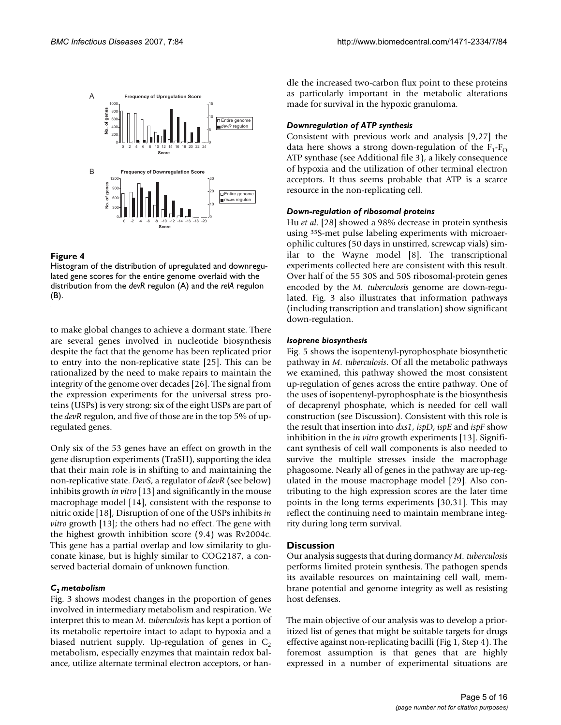

#### Figure 4

Histogram of the distribution of upregulated and downregulated gene scores for the entire genome overlaid with the distribution from the *devR* regulon (A) and the *relA* regulon (B).

to make global changes to achieve a dormant state. There are several genes involved in nucleotide biosynthesis despite the fact that the genome has been replicated prior to entry into the non-replicative state [25]. This can be rationalized by the need to make repairs to maintain the integrity of the genome over decades [26]. The signal from the expression experiments for the universal stress proteins (USPs) is very strong: six of the eight USPs are part of the *devR* regulon, and five of those are in the top 5% of upregulated genes.

Only six of the 53 genes have an effect on growth in the gene disruption experiments (TraSH), supporting the idea that their main role is in shifting to and maintaining the non-replicative state. *DevS*, a regulator of *devR* (see below) inhibits growth *in vitro* [13] and significantly in the mouse macrophage model [14], consistent with the response to nitric oxide [18], Disruption of one of the USPs inhibits *in vitro* growth [13]; the others had no effect. The gene with the highest growth inhibition score (9.4) was Rv2004c. This gene has a partial overlap and low similarity to gluconate kinase, but is highly similar to COG2187, a conserved bacterial domain of unknown function.

## *C2 metabolism*

Fig. 3 shows modest changes in the proportion of genes involved in intermediary metabolism and respiration. We interpret this to mean *M. tuberculosis* has kept a portion of its metabolic repertoire intact to adapt to hypoxia and a biased nutrient supply. Up-regulation of genes in  $C<sub>2</sub>$ metabolism, especially enzymes that maintain redox balance, utilize alternate terminal electron acceptors, or handle the increased two-carbon flux point to these proteins as particularly important in the metabolic alterations made for survival in the hypoxic granuloma.

#### *Downregulation of ATP synthesis*

Consistent with previous work and analysis [9,27] the data here shows a strong down-regulation of the  $F_1-F_0$ ATP synthase (see Additional file 3), a likely consequence of hypoxia and the utilization of other terminal electron acceptors. It thus seems probable that ATP is a scarce resource in the non-replicating cell.

#### *Down-regulation of ribosomal proteins*

Hu *et al*. [28] showed a 98% decrease in protein synthesis using 35S-met pulse labeling experiments with microaerophilic cultures (50 days in unstirred, screwcap vials) similar to the Wayne model [8]. The transcriptional experiments collected here are consistent with this result. Over half of the 55 30S and 50S ribosomal-protein genes encoded by the *M. tuberculosis* genome are down-regulated. Fig. 3 also illustrates that information pathways (including transcription and translation) show significant down-regulation.

#### *Isoprene biosynthesis*

Fig. 5 shows the isopentenyl-pyrophosphate biosynthetic pathway in *M. tuberculosis*. Of all the metabolic pathways we examined, this pathway showed the most consistent up-regulation of genes across the entire pathway. One of the uses of isopentenyl-pyrophosphate is the biosynthesis of decaprenyl phosphate, which is needed for cell wall construction (see Discussion). Consistent with this role is the result that insertion into *dxs1*, *ispD*, *ispE* and *ispF* show inhibition in the *in vitro* growth experiments [13]. Significant synthesis of cell wall components is also needed to survive the multiple stresses inside the macrophage phagosome. Nearly all of genes in the pathway are up-regulated in the mouse macrophage model [29]. Also contributing to the high expression scores are the later time points in the long terms experiments [30,31]. This may reflect the continuing need to maintain membrane integrity during long term survival.

## **Discussion**

Our analysis suggests that during dormancy *M. tuberculosis* performs limited protein synthesis. The pathogen spends its available resources on maintaining cell wall, membrane potential and genome integrity as well as resisting host defenses.

The main objective of our analysis was to develop a prioritized list of genes that might be suitable targets for drugs effective against non-replicating bacilli (Fig 1, Step 4). The foremost assumption is that genes that are highly expressed in a number of experimental situations are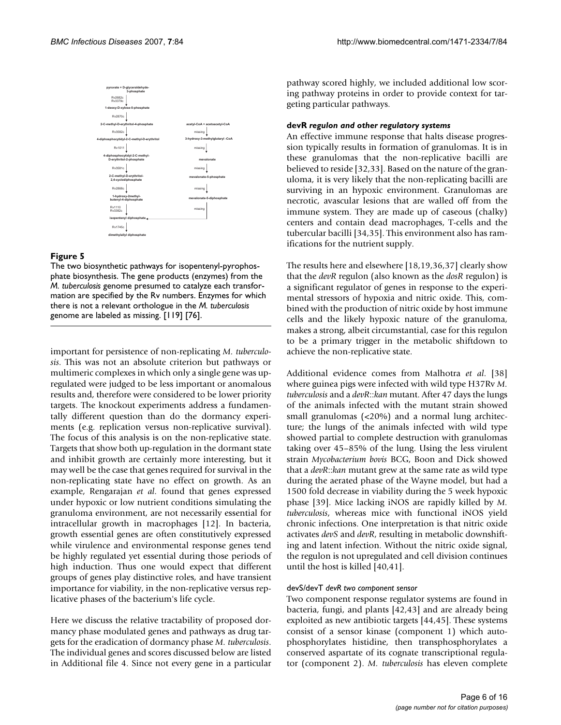

## Figure 5

The two biosynthetic pathways for isopentenyl-pyrophosphate biosynthesis. The gene products (enzymes) from the *M. tuberculosis* genome presumed to catalyze each transformation are specified by the Rv numbers. Enzymes for which there is not a relevant orthologue in the *M. tuberculosis*  genome are labeled as missing. [119] [76].

important for persistence of non-replicating *M. tuberculosis*. This was not an absolute criterion but pathways or multimeric complexes in which only a single gene was upregulated were judged to be less important or anomalous results and, therefore were considered to be lower priority targets. The knockout experiments address a fundamentally different question than do the dormancy experiments (e.g. replication versus non-replicative survival). The focus of this analysis is on the non-replicative state. Targets that show both up-regulation in the dormant state and inhibit growth are certainly more interesting, but it may well be the case that genes required for survival in the non-replicating state have no effect on growth. As an example, Rengarajan *et al*. found that genes expressed under hypoxic or low nutrient conditions simulating the granuloma environment, are not necessarily essential for intracellular growth in macrophages [12]. In bacteria, growth essential genes are often constitutively expressed while virulence and environmental response genes tend be highly regulated yet essential during those periods of high induction. Thus one would expect that different groups of genes play distinctive roles, and have transient importance for viability, in the non-replicative versus replicative phases of the bacterium's life cycle.

Here we discuss the relative tractability of proposed dormancy phase modulated genes and pathways as drug targets for the eradication of dormancy phase *M. tuberculosis*. The individual genes and scores discussed below are listed in Additional file 4. Since not every gene in a particular pathway scored highly, we included additional low scoring pathway proteins in order to provide context for targeting particular pathways.

## **devR** *regulon and other regulatory systems*

An effective immune response that halts disease progression typically results in formation of granulomas. It is in these granulomas that the non-replicative bacilli are believed to reside [32,33]. Based on the nature of the granuloma, it is very likely that the non-replicating bacilli are surviving in an hypoxic environment. Granulomas are necrotic, avascular lesions that are walled off from the immune system. They are made up of caseous (chalky) centers and contain dead macrophages, T-cells and the tubercular bacilli [34,35]. This environment also has ramifications for the nutrient supply.

The results here and elsewhere [18,19,36,37] clearly show that the *devR* regulon (also known as the *dosR* regulon) is a significant regulator of genes in response to the experimental stressors of hypoxia and nitric oxide. This, combined with the production of nitric oxide by host immune cells and the likely hypoxic nature of the granuloma, makes a strong, albeit circumstantial, case for this regulon to be a primary trigger in the metabolic shiftdown to achieve the non-replicative state.

Additional evidence comes from Malhotra *et al*. [38] where guinea pigs were infected with wild type H37Rv *M. tuberculosis* and a *devR*::*kan* mutant. After 47 days the lungs of the animals infected with the mutant strain showed small granulomas (<20%) and a normal lung architecture; the lungs of the animals infected with wild type showed partial to complete destruction with granulomas taking over 45–85% of the lung. Using the less virulent strain *Mycobacterium bovis* BCG, Boon and Dick showed that a *devR*::*kan* mutant grew at the same rate as wild type during the aerated phase of the Wayne model, but had a 1500 fold decrease in viability during the 5 week hypoxic phase [39]. Mice lacking iNOS are rapidly killed by *M. tuberculosis*, whereas mice with functional iNOS yield chronic infections. One interpretation is that nitric oxide activates *devS* and *devR*, resulting in metabolic downshifting and latent infection. Without the nitric oxide signal, the regulon is not upregulated and cell division continues until the host is killed [40,41].

## devS*/*devT *devR two component sensor*

Two component response regulator systems are found in bacteria, fungi, and plants [42,43] and are already being exploited as new antibiotic targets [44,45]. These systems consist of a sensor kinase (component 1) which autophosphorylates histidine, then transphosphorylates a conserved aspartate of its cognate transcriptional regulator (component 2). *M. tuberculosis* has eleven complete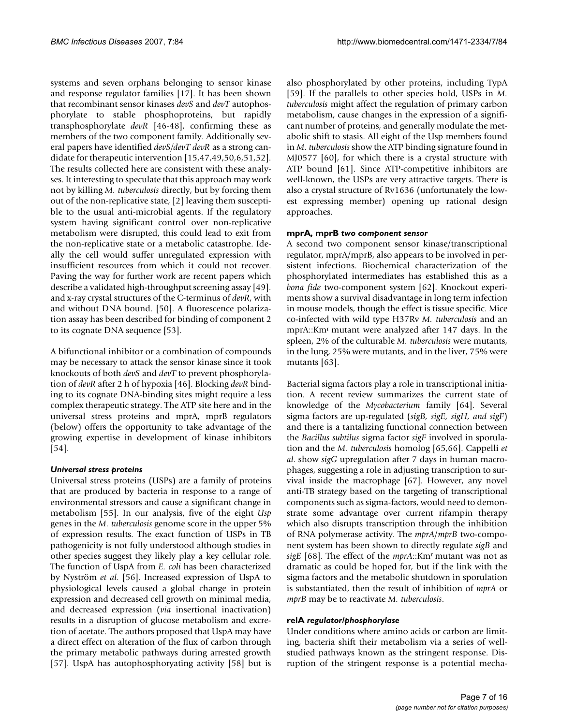systems and seven orphans belonging to sensor kinase and response regulator families [17]. It has been shown that recombinant sensor kinases *devS* and *devT* autophosphorylate to stable phosphoproteins, but rapidly transphosphorylate *devR* [46-48], confirming these as members of the two component family. Additionally several papers have identified *devS/devT devR* as a strong candidate for therapeutic intervention [15,47,49,50,6,51,52]. The results collected here are consistent with these analyses. It interesting to speculate that this approach may work not by killing *M. tuberculosis* directly, but by forcing them out of the non-replicative state, [2] leaving them susceptible to the usual anti-microbial agents. If the regulatory system having significant control over non-replicative metabolism were disrupted, this could lead to exit from the non-replicative state or a metabolic catastrophe. Ideally the cell would suffer unregulated expression with insufficient resources from which it could not recover. Paving the way for further work are recent papers which describe a validated high-throughput screening assay [49]. and x-ray crystal structures of the C-terminus of *devR*, with and without DNA bound. [50]. A fluorescence polarization assay has been described for binding of component 2 to its cognate DNA sequence [53].

A bifunctional inhibitor or a combination of compounds may be necessary to attack the sensor kinase since it took knockouts of both *devS* and *devT* to prevent phosphorylation of *devR* after 2 h of hypoxia [46]. Blocking *devR* binding to its cognate DNA-binding sites might require a less complex therapeutic strategy. The ATP site here and in the universal stress proteins and mprA, mprB regulators (below) offers the opportunity to take advantage of the growing expertise in development of kinase inhibitors [54].

## *Universal stress proteins*

Universal stress proteins (USPs) are a family of proteins that are produced by bacteria in response to a range of environmental stressors and cause a significant change in metabolism [55]. In our analysis, five of the eight *Usp* genes in the *M. tuberculosis* genome score in the upper 5% of expression results. The exact function of USPs in TB pathogenicity is not fully understood although studies in other species suggest they likely play a key cellular role. The function of UspA from *E. coli* has been characterized by Nyström *et al*. [56]. Increased expression of UspA to physiological levels caused a global change in protein expression and decreased cell growth on minimal media, and decreased expression (*via* insertional inactivation) results in a disruption of glucose metabolism and excretion of acetate. The authors proposed that UspA may have a direct effect on alteration of the flux of carbon through the primary metabolic pathways during arrested growth [57]. UspA has autophosphoryating activity [58] but is

also phosphorylated by other proteins, including TypA [59]. If the parallels to other species hold, USPs in *M. tuberculosis* might affect the regulation of primary carbon metabolism, cause changes in the expression of a significant number of proteins, and generally modulate the metabolic shift to stasis. All eight of the Usp members found in *M. tuberculosis* show the ATP binding signature found in MJ0577 [60], for which there is a crystal structure with ATP bound [61]. Since ATP-competitive inhibitors are well-known, the USPs are very attractive targets. There is also a crystal structure of Rv1636 (unfortunately the lowest expressing member) opening up rational design approaches.

## **mprA***,* **mprB** *two component sensor*

A second two component sensor kinase/transcriptional regulator, mprA/mprB, also appears to be involved in persistent infections. Biochemical characterization of the phosphorylated intermediates has established this as a *bona fide* two-component system [62]. Knockout experiments show a survival disadvantage in long term infection in mouse models, though the effect is tissue specific. Mice co-infected with wild type H37Rv *M. tuberculosis* and an mprA::Kmr mutant were analyzed after 147 days. In the spleen, 2% of the culturable *M. tuberculosis* were mutants, in the lung, 25% were mutants, and in the liver, 75% were mutants [63].

Bacterial sigma factors play a role in transcriptional initiation. A recent review summarizes the current state of knowledge of the *Mycobacterium* family [64]. Several sigma factors are up-regulated (*sigB, sigE, sigH, and sigF*) and there is a tantalizing functional connection between the *Bacillus subtilus* sigma factor *sigF* involved in sporulation and the *M. tuberculosis* homolog [65,66]. Cappelli *et al*. show *sigG* upregulation after 7 days in human macrophages, suggesting a role in adjusting transcription to survival inside the macrophage [67]. However, any novel anti-TB strategy based on the targeting of transcriptional components such as sigma-factors, would need to demonstrate some advantage over current rifampin therapy which also disrupts transcription through the inhibition of RNA polymerase activity. The *mprA*/*mprB* two-component system has been shown to directly regulate *sigB* and *sigE* [68]. The effect of the *mprA*::Kmr mutant was not as dramatic as could be hoped for, but if the link with the sigma factors and the metabolic shutdown in sporulation is substantiated, then the result of inhibition of *mprA* or *mprB* may be to reactivate *M. tuberculosis*.

## **relA** *regulator/phosphorylase*

Under conditions where amino acids or carbon are limiting, bacteria shift their metabolism via a series of wellstudied pathways known as the stringent response. Disruption of the stringent response is a potential mecha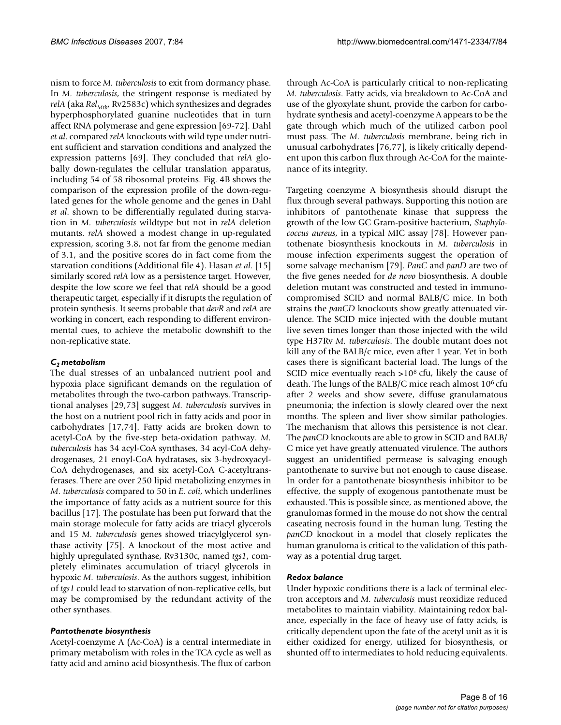nism to force *M. tuberculosis* to exit from dormancy phase. In *M. tuberculosis*, the stringent response is mediated by *relA* (aka *Rel<sub>Mtb</sub>*, Rv2583c) which synthesizes and degrades hyperphosphorylated guanine nucleotides that in turn affect RNA polymerase and gene expression [69-72]. Dahl *et al*. compared *relA* knockouts with wild type under nutrient sufficient and starvation conditions and analyzed the expression patterns [69]. They concluded that *relA* globally down-regulates the cellular translation apparatus, including 54 of 58 ribosomal proteins. Fig. 4B shows the comparison of the expression profile of the down-regulated genes for the whole genome and the genes in Dahl *et al*. shown to be differentially regulated during starvation in *M. tuberculosis* wildtype but not in *relA* deletion mutants. *relA* showed a modest change in up-regulated expression, scoring 3.8, not far from the genome median of 3.1, and the positive scores do in fact come from the starvation conditions (Additional file 4). Hasan *et al*. [15] similarly scored *relA* low as a persistence target. However, despite the low score we feel that *relA* should be a good therapeutic target, especially if it disrupts the regulation of protein synthesis. It seems probable that *devR* and *relA* are working in concert, each responding to different environmental cues, to achieve the metabolic downshift to the non-replicative state.

# *C2 metabolism*

The dual stresses of an unbalanced nutrient pool and hypoxia place significant demands on the regulation of metabolites through the two-carbon pathways. Transcriptional analyses [29,73] suggest *M. tuberculosis* survives in the host on a nutrient pool rich in fatty acids and poor in carbohydrates [17,74]. Fatty acids are broken down to acetyl-CoA by the five-step beta-oxidation pathway. *M. tuberculosis* has 34 acyl-CoA synthases, 34 acyl-CoA dehydrogenases, 21 enoyl-CoA hydratases, six 3-hydroxyacyl-CoA dehydrogenases, and six acetyl-CoA C-acetyltransferases. There are over 250 lipid metabolizing enzymes in *M. tuberculosis* compared to 50 in *E. coli*, which underlines the importance of fatty acids as a nutrient source for this bacillus [17]. The postulate has been put forward that the main storage molecule for fatty acids are triacyl glycerols and 15 *M. tuberculosis* genes showed triacylglycerol synthase activity [75]. A knockout of the most active and highly upregulated synthase, Rv3130c, named *tgs1*, completely eliminates accumulation of triacyl glycerols in hypoxic *M. tuberculosis*. As the authors suggest, inhibition of *tgs1* could lead to starvation of non-replicative cells, but may be compromised by the redundant activity of the other synthases.

## *Pantothenate biosynthesis*

Acetyl-coenzyme A (Ac-CoA) is a central intermediate in primary metabolism with roles in the TCA cycle as well as fatty acid and amino acid biosynthesis. The flux of carbon

through Ac-CoA is particularly critical to non-replicating *M. tuberculosis*. Fatty acids, via breakdown to Ac-CoA and use of the glyoxylate shunt, provide the carbon for carbohydrate synthesis and acetyl-coenzyme A appears to be the gate through which much of the utilized carbon pool must pass. The *M. tuberculosis* membrane, being rich in unusual carbohydrates [76,77], is likely critically dependent upon this carbon flux through Ac-CoA for the maintenance of its integrity.

Targeting coenzyme A biosynthesis should disrupt the flux through several pathways. Supporting this notion are inhibitors of pantothenate kinase that suppress the growth of the low GC Gram-positive bacterium, *Staphylococcus aureus*, in a typical MIC assay [78]. However pantothenate biosynthesis knockouts in *M. tuberculosis* in mouse infection experiments suggest the operation of some salvage mechanism [79]. *PanC* and *panD* are two of the five genes needed for *de novo* biosynthesis. A double deletion mutant was constructed and tested in immunocompromised SCID and normal BALB/C mice. In both strains the *panCD* knockouts show greatly attenuated virulence. The SCID mice injected with the double mutant live seven times longer than those injected with the wild type H37Rv *M. tuberculosis*. The double mutant does not kill any of the BALB/c mice, even after 1 year. Yet in both cases there is significant bacterial load. The lungs of the SCID mice eventually reach  $>10^8$  cfu, likely the cause of death. The lungs of the BALB/C mice reach almost 10<sup>6</sup> cfu after 2 weeks and show severe, diffuse granulamatous pneumonia; the infection is slowly cleared over the next months. The spleen and liver show similar pathologies. The mechanism that allows this persistence is not clear. The *panCD* knockouts are able to grow in SCID and BALB/ C mice yet have greatly attenuated virulence. The authors suggest an unidentified permease is salvaging enough pantothenate to survive but not enough to cause disease. In order for a pantothenate biosynthesis inhibitor to be effective, the supply of exogenous pantothenate must be exhausted. This is possible since, as mentioned above, the granulomas formed in the mouse do not show the central caseating necrosis found in the human lung. Testing the *panCD* knockout in a model that closely replicates the human granuloma is critical to the validation of this pathway as a potential drug target.

#### *Redox balance*

Under hypoxic conditions there is a lack of terminal electron acceptors and *M. tuberculosis* must reoxidize reduced metabolites to maintain viability. Maintaining redox balance, especially in the face of heavy use of fatty acids, is critically dependent upon the fate of the acetyl unit as it is either oxidized for energy, utilized for biosynthesis, or shunted off to intermediates to hold reducing equivalents.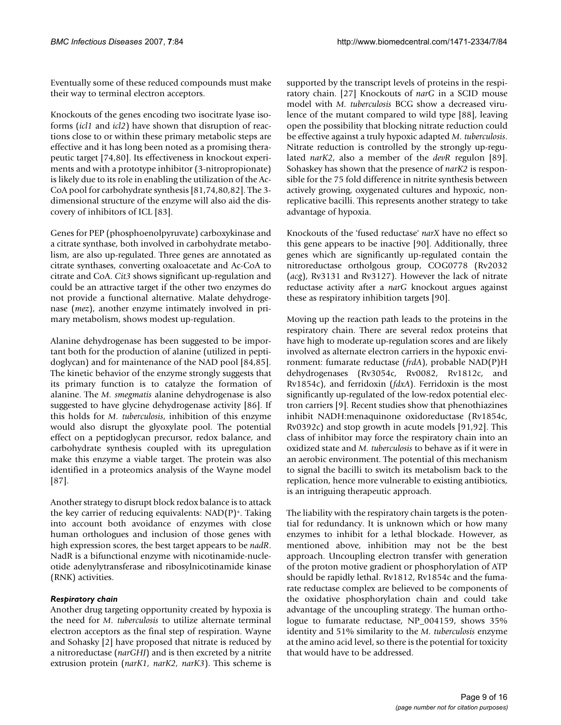Eventually some of these reduced compounds must make their way to terminal electron acceptors.

Knockouts of the genes encoding two isocitrate lyase isoforms (*icl1* and *icl2*) have shown that disruption of reactions close to or within these primary metabolic steps are effective and it has long been noted as a promising therapeutic target [74,80]. Its effectiveness in knockout experiments and with a prototype inhibitor (3-nitropropionate) is likely due to its role in enabling the utilization of the Ac-CoA pool for carbohydrate synthesis [81,74,80,82]. The 3 dimensional structure of the enzyme will also aid the discovery of inhibitors of ICL [83].

Genes for PEP (phosphoenolpyruvate) carboxykinase and a citrate synthase, both involved in carbohydrate metabolism, are also up-regulated. Three genes are annotated as citrate synthases, converting oxaloacetate and Ac-CoA to citrate and CoA. *Cit3* shows significant up-regulation and could be an attractive target if the other two enzymes do not provide a functional alternative. Malate dehydrogenase (*mez*), another enzyme intimately involved in primary metabolism, shows modest up-regulation.

Alanine dehydrogenase has been suggested to be important both for the production of alanine (utilized in peptidoglycan) and for maintenance of the NAD pool [84,85]. The kinetic behavior of the enzyme strongly suggests that its primary function is to catalyze the formation of alanine. The *M. smegmatis* alanine dehydrogenase is also suggested to have glycine dehydrogenase activity [86]. If this holds for *M. tuberculosis*, inhibition of this enzyme would also disrupt the glyoxylate pool. The potential effect on a peptidoglycan precursor, redox balance, and carbohydrate synthesis coupled with its upregulation make this enzyme a viable target. The protein was also identified in a proteomics analysis of the Wayne model [87].

Another strategy to disrupt block redox balance is to attack the key carrier of reducing equivalents:  $NAD(P)^+$ . Taking into account both avoidance of enzymes with close human orthologues and inclusion of those genes with high expression scores, the best target appears to be *nadR*. NadR is a bifunctional enzyme with nicotinamide-nucleotide adenylytransferase and ribosylnicotinamide kinase (RNK) activities.

## *Respiratory chain*

Another drug targeting opportunity created by hypoxia is the need for *M. tuberculosis* to utilize alternate terminal electron acceptors as the final step of respiration. Wayne and Sohasky [2] have proposed that nitrate is reduced by a nitroreductase (*narGHJ*) and is then excreted by a nitrite extrusion protein (*narK1, narK2, narK3*). This scheme is

supported by the transcript levels of proteins in the respiratory chain. [27] Knockouts of *narG* in a SCID mouse model with *M. tuberculosis* BCG show a decreased virulence of the mutant compared to wild type [88], leaving open the possibility that blocking nitrate reduction could be effective against a truly hypoxic adapted *M. tuberculosis*. Nitrate reduction is controlled by the strongly up-regulated *narK2*, also a member of the *devR* regulon [89]. Sohaskey has shown that the presence of *narK2* is responsible for the 75 fold difference in nitrite synthesis between actively growing, oxygenated cultures and hypoxic, nonreplicative bacilli. This represents another strategy to take advantage of hypoxia.

Knockouts of the 'fused reductase' *narX* have no effect so this gene appears to be inactive [90]. Additionally, three genes which are significantly up-regulated contain the nitroreductase ortholgous group, COG0778 (Rv2032 (*acg*), Rv3131 and Rv3127). However the lack of nitrate reductase activity after a *narG* knockout argues against these as respiratory inhibition targets [90].

Moving up the reaction path leads to the proteins in the respiratory chain. There are several redox proteins that have high to moderate up-regulation scores and are likely involved as alternate electron carriers in the hypoxic environment: fumarate reductase (*frdA*), probable NAD(P)H dehydrogenases (Rv3054c, Rv0082, Rv1812c, and Rv1854c), and ferridoxin (*fdxA*). Ferridoxin is the most significantly up-regulated of the low-redox potential electron carriers [9]. Recent studies show that phenothiazines inhibit NADH:menaquinone oxidoreductase (Rv1854c, Rv0392c) and stop growth in acute models [91,92]. This class of inhibitor may force the respiratory chain into an oxidized state and *M. tuberculosis* to behave as if it were in an aerobic environment. The potential of this mechanism to signal the bacilli to switch its metabolism back to the replication, hence more vulnerable to existing antibiotics, is an intriguing therapeutic approach.

The liability with the respiratory chain targets is the potential for redundancy. It is unknown which or how many enzymes to inhibit for a lethal blockade. However, as mentioned above, inhibition may not be the best approach. Uncoupling electron transfer with generation of the proton motive gradient or phosphorylation of ATP should be rapidly lethal. Rv1812, Rv1854c and the fumarate reductase complex are believed to be components of the oxidative phosphorylation chain and could take advantage of the uncoupling strategy. The human orthologue to fumarate reductase, NP\_004159, shows 35% identity and 51% similarity to the *M. tuberculosis* enzyme at the amino acid level, so there is the potential for toxicity that would have to be addressed.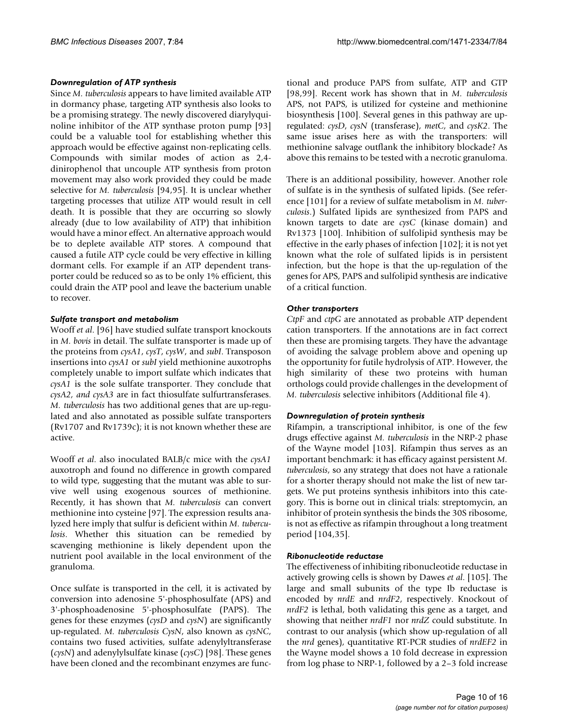## *Downregulation of ATP synthesis*

Since *M. tuberculosis* appears to have limited available ATP in dormancy phase, targeting ATP synthesis also looks to be a promising strategy. The newly discovered diarylyquinoline inhibitor of the ATP synthase proton pump [93] could be a valuable tool for establishing whether this approach would be effective against non-replicating cells. Compounds with similar modes of action as 2,4 dinirophenol that uncouple ATP synthesis from proton movement may also work provided they could be made selective for *M. tuberculosis* [94,95]. It is unclear whether targeting processes that utilize ATP would result in cell death. It is possible that they are occurring so slowly already (due to low availability of ATP) that inhibition would have a minor effect. An alternative approach would be to deplete available ATP stores. A compound that caused a futile ATP cycle could be very effective in killing dormant cells. For example if an ATP dependent transporter could be reduced so as to be only 1% efficient, this could drain the ATP pool and leave the bacterium unable to recover.

## *Sulfate transport and metabolism*

Wooff *et al*. [96] have studied sulfate transport knockouts in *M. bovis* in detail. The sulfate transporter is made up of the proteins from *cysA1*, *cysT*, *cysW*, and *subI*. Transposon insertions into *cysA1* or *subI* yield methionine auxotrophs completely unable to import sulfate which indicates that *cysA1* is the sole sulfate transporter. They conclude that *cysA2, and cysA3* are in fact thiosulfate sulfurtransferases. *M. tuberculosis* has two additional genes that are up-regulated and also annotated as possible sulfate transporters (Rv1707 and Rv1739c); it is not known whether these are active.

Wooff *et al*. also inoculated BALB/c mice with the *cysA1* auxotroph and found no difference in growth compared to wild type, suggesting that the mutant was able to survive well using exogenous sources of methionine. Recently, it has shown that *M. tuberculosis* can convert methionine into cysteine [97]. The expression results analyzed here imply that sulfur is deficient within *M. tuberculosis*. Whether this situation can be remedied by scavenging methionine is likely dependent upon the nutrient pool available in the local environment of the granuloma.

Once sulfate is transported in the cell, it is activated by conversion into adenosine 5'-phosphosulfate (APS) and 3'-phosphoadenosine 5'-phosphosulfate (PAPS). The genes for these enzymes (*cysD* and *cysN*) are significantly up-regulated. *M. tuberculosis CysN*, also known as *cysNC*, contains two fused activities, sulfate adenylyltransferase (*cysN*) and adenylylsulfate kinase (*cysC*) [98]. These genes have been cloned and the recombinant enzymes are functional and produce PAPS from sulfate, ATP and GTP [98,99]. Recent work has shown that in *M. tuberculosis* APS, not PAPS, is utilized for cysteine and methionine biosynthesis [100]. Several genes in this pathway are upregulated: *cysD*, *cysN* (transferase), *metC*, and *cysK2*. The same issue arises here as with the transporters: will methionine salvage outflank the inhibitory blockade? As above this remains to be tested with a necrotic granuloma.

There is an additional possibility, however. Another role of sulfate is in the synthesis of sulfated lipids. (See reference [101] for a review of sulfate metabolism in *M. tuberculosis*.) Sulfated lipids are synthesized from PAPS and known targets to date are *cysC* (kinase domain) and Rv1373 [100]. Inhibition of sulfolipid synthesis may be effective in the early phases of infection [102]; it is not yet known what the role of sulfated lipids is in persistent infection, but the hope is that the up-regulation of the genes for APS, PAPS and sulfolipid synthesis are indicative of a critical function.

## *Other transporters*

*CtpF* and *ctpG* are annotated as probable ATP dependent cation transporters. If the annotations are in fact correct then these are promising targets. They have the advantage of avoiding the salvage problem above and opening up the opportunity for futile hydrolysis of ATP. However, the high similarity of these two proteins with human orthologs could provide challenges in the development of *M. tuberculosis* selective inhibitors (Additional file 4).

## *Downregulation of protein synthesis*

Rifampin, a transcriptional inhibitor, is one of the few drugs effective against *M. tuberculosis* in the NRP-2 phase of the Wayne model [103]. Rifampin thus serves as an important benchmark: it has efficacy against persistent *M. tuberculosis*, so any strategy that does not have a rationale for a shorter therapy should not make the list of new targets. We put proteins synthesis inhibitors into this category. This is borne out in clinical trials: streptomycin, an inhibitor of protein synthesis the binds the 30S ribosome, is not as effective as rifampin throughout a long treatment period [104,35].

## *Ribonucleotide reductase*

The effectiveness of inhibiting ribonucleotide reductase in actively growing cells is shown by Dawes *et al*. [105]. The large and small subunits of the type Ib reductase is encoded by *nrdE* and *nrdF2*, respectively. Knockout of *nrdF2* is lethal, both validating this gene as a target, and showing that neither *nrdF1* nor *nrdZ* could substitute. In contrast to our analysis (which show up-regulation of all the *nrd* genes), quantitative RT-PCR studies of *nrdEF2* in the Wayne model shows a 10 fold decrease in expression from log phase to NRP-1, followed by a 2–3 fold increase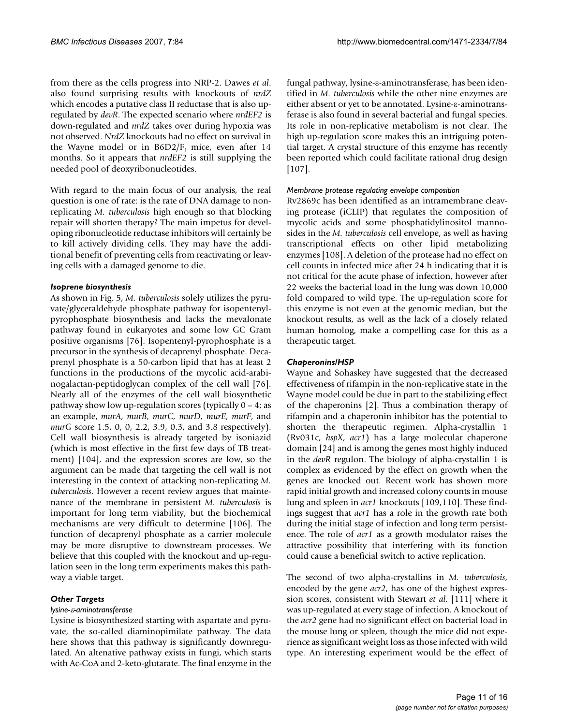from there as the cells progress into NRP-2. Dawes *et al*. also found surprising results with knockouts of *nrdZ* which encodes a putative class II reductase that is also upregulated by *devR*. The expected scenario where *nrdEF2* is down-regulated and *nrdZ* takes over during hypoxia was not observed. *NrdZ* knockouts had no effect on survival in the Wayne model or in  $B6D2/F<sub>1</sub>$  mice, even after 14 months. So it appears that *nrdEF2* is still supplying the needed pool of deoxyribonucleotides.

With regard to the main focus of our analysis, the real question is one of rate: is the rate of DNA damage to nonreplicating *M. tuberculosis* high enough so that blocking repair will shorten therapy? The main impetus for developing ribonucleotide reductase inhibitors will certainly be to kill actively dividing cells. They may have the additional benefit of preventing cells from reactivating or leaving cells with a damaged genome to die.

#### *Isoprene biosynthesis*

As shown in Fig. 5, *M. tuberculosis* solely utilizes the pyruvate/glyceraldehyde phosphate pathway for isopentenylpyrophosphate biosynthesis and lacks the mevalonate pathway found in eukaryotes and some low GC Gram positive organisms [76]. Isopentenyl-pyrophosphate is a precursor in the synthesis of decaprenyl phosphate. Decaprenyl phosphate is a 50-carbon lipid that has at least 2 functions in the productions of the mycolic acid-arabinogalactan-peptidoglycan complex of the cell wall [76]. Nearly all of the enzymes of the cell wall biosynthetic pathway show low up-regulation scores (typically  $0 - 4$ ; as an example, *murA, murB, murC, murD, murE, murF*, and *murG* score 1.5, 0, 0, 2.2, 3.9, 0.3, and 3.8 respectively). Cell wall biosynthesis is already targeted by isoniazid (which is most effective in the first few days of TB treatment) [104], and the expression scores are low, so the argument can be made that targeting the cell wall is not interesting in the context of attacking non-replicating *M. tuberculosis*. However a recent review argues that maintenance of the membrane in persistent *M. tuberculosis* is important for long term viability, but the biochemical mechanisms are very difficult to determine [106]. The function of decaprenyl phosphate as a carrier molecule may be more disruptive to downstream processes. We believe that this coupled with the knockout and up-regulation seen in the long term experiments makes this pathway a viable target.

## *Other Targets*

#### *lysine-*ε*-aminotransferase*

Lysine is biosynthesized starting with aspartate and pyruvate, the so-called diaminopimilate pathway. The data here shows that this pathway is significantly downregulated. An altenative pathway exists in fungi, which starts with Ac-CoA and 2-keto-glutarate. The final enzyme in the fungal pathway, lysine-ε-aminotransferase, has been identified in *M. tuberculosis* while the other nine enzymes are either absent or yet to be annotated. Lysine-ε-aminotransferase is also found in several bacterial and fungal species. Its role in non-replicative metabolism is not clear. The high up-regulation score makes this an intriguing potential target. A crystal structure of this enzyme has recently been reported which could facilitate rational drug design [107].

#### *Membrane protease regulating envelope composition*

Rv2869c has been identified as an intramembrane cleaving protease (iCLIP) that regulates the composition of mycolic acids and some phosphatidylinositol mannosides in the *M. tuberculosis* cell envelope, as well as having transcriptional effects on other lipid metabolizing enzymes [108]. A deletion of the protease had no effect on cell counts in infected mice after 24 h indicating that it is not critical for the acute phase of infection, however after 22 weeks the bacterial load in the lung was down 10,000 fold compared to wild type. The up-regulation score for this enzyme is not even at the genomic median, but the knockout results, as well as the lack of a closely related human homolog, make a compelling case for this as a therapeutic target.

#### *Chaperonins/HSP*

Wayne and Sohaskey have suggested that the decreased effectiveness of rifampin in the non-replicative state in the Wayne model could be due in part to the stabilizing effect of the chaperonins [2]. Thus a combination therapy of rifampin and a chaperonin inhibitor has the potential to shorten the therapeutic regimen. Alpha-crystallin 1 (Rv031c, *hspX*, *acr1*) has a large molecular chaperone domain [24] and is among the genes most highly induced in the *devR* regulon. The biology of alpha-crystallin 1 is complex as evidenced by the effect on growth when the genes are knocked out. Recent work has shown more rapid initial growth and increased colony counts in mouse lung and spleen in *acr1* knockouts [109,110]. These findings suggest that *acr1* has a role in the growth rate both during the initial stage of infection and long term persistence. The role of *acr1* as a growth modulator raises the attractive possibility that interfering with its function could cause a beneficial switch to active replication.

The second of two alpha-crystallins in *M. tuberculosis*, encoded by the gene *acr2*, has one of the highest expression scores, consistent with Stewart *et al*. [111] where it was up-regulated at every stage of infection. A knockout of the *acr2* gene had no significant effect on bacterial load in the mouse lung or spleen, though the mice did not experience as significant weight loss as those infected with wild type. An interesting experiment would be the effect of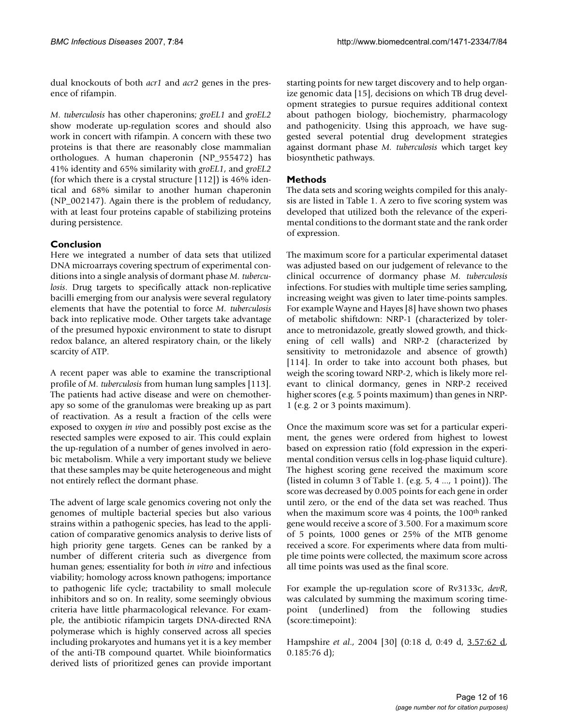dual knockouts of both *acr1* and *acr2* genes in the presence of rifampin.

*M. tuberculosis* has other chaperonins; *groEL1* and *groEL2* show moderate up-regulation scores and should also work in concert with rifampin. A concern with these two proteins is that there are reasonably close mammalian orthologues. A human chaperonin (NP\_955472) has 41% identity and 65% similarity with *groEL1*, and *groEL2* (for which there is a crystal structure [112]) is 46% identical and 68% similar to another human chaperonin (NP\_002147). Again there is the problem of redudancy, with at least four proteins capable of stabilizing proteins during persistence.

## **Conclusion**

Here we integrated a number of data sets that utilized DNA microarrays covering spectrum of experimental conditions into a single analysis of dormant phase *M. tuberculosis*. Drug targets to specifically attack non-replicative bacilli emerging from our analysis were several regulatory elements that have the potential to force *M. tuberculosis* back into replicative mode. Other targets take advantage of the presumed hypoxic environment to state to disrupt redox balance, an altered respiratory chain, or the likely scarcity of ATP.

A recent paper was able to examine the transcriptional profile of *M. tuberculosis* from human lung samples [113]. The patients had active disease and were on chemotherapy so some of the granulomas were breaking up as part of reactivation. As a result a fraction of the cells were exposed to oxygen *in vivo* and possibly post excise as the resected samples were exposed to air. This could explain the up-regulation of a number of genes involved in aerobic metabolism. While a very important study we believe that these samples may be quite heterogeneous and might not entirely reflect the dormant phase.

The advent of large scale genomics covering not only the genomes of multiple bacterial species but also various strains within a pathogenic species, has lead to the application of comparative genomics analysis to derive lists of high priority gene targets. Genes can be ranked by a number of different criteria such as divergence from human genes; essentiality for both *in vitro* and infectious viability; homology across known pathogens; importance to pathogenic life cycle; tractability to small molecule inhibitors and so on. In reality, some seemingly obvious criteria have little pharmacological relevance. For example, the antibiotic rifampicin targets DNA-directed RNA polymerase which is highly conserved across all species including prokaryotes and humans yet it is a key member of the anti-TB compound quartet. While bioinformatics derived lists of prioritized genes can provide important starting points for new target discovery and to help organize genomic data [15], decisions on which TB drug development strategies to pursue requires additional context about pathogen biology, biochemistry, pharmacology and pathogenicity. Using this approach, we have suggested several potential drug development strategies against dormant phase *M. tuberculosis* which target key biosynthetic pathways.

# **Methods**

The data sets and scoring weights compiled for this analysis are listed in Table 1. A zero to five scoring system was developed that utilized both the relevance of the experimental conditions to the dormant state and the rank order of expression.

The maximum score for a particular experimental dataset was adjusted based on our judgement of relevance to the clinical occurrence of dormancy phase *M. tuberculosis* infections. For studies with multiple time series sampling, increasing weight was given to later time-points samples. For example Wayne and Hayes [8] have shown two phases of metabolic shiftdown: NRP-1 (characterized by tolerance to metronidazole, greatly slowed growth, and thickening of cell walls) and NRP-2 (characterized by sensitivity to metronidazole and absence of growth) [114]. In order to take into account both phases, but weigh the scoring toward NRP-2, which is likely more relevant to clinical dormancy, genes in NRP-2 received higher scores (e.g. 5 points maximum) than genes in NRP-1 (e.g. 2 or 3 points maximum).

Once the maximum score was set for a particular experiment, the genes were ordered from highest to lowest based on expression ratio (fold expression in the experimental condition versus cells in log-phase liquid culture). The highest scoring gene received the maximum score (listed in column 3 of Table 1. (e.g. 5, 4 ..., 1 point)). The score was decreased by 0.005 points for each gene in order until zero, or the end of the data set was reached. Thus when the maximum score was 4 points, the 100<sup>th</sup> ranked gene would receive a score of 3.500. For a maximum score of 5 points, 1000 genes or 25% of the MTB genome received a score. For experiments where data from multiple time points were collected, the maximum score across all time points was used as the final score.

For example the up-regulation score of Rv3133c, *devR*, was calculated by summing the maximum scoring timepoint (underlined) from the following studies (score:timepoint):

Hampshire *et al*., 2004 [30] (0:18 d, 0:49 d, 3.57:62 d, 0.185:76 d);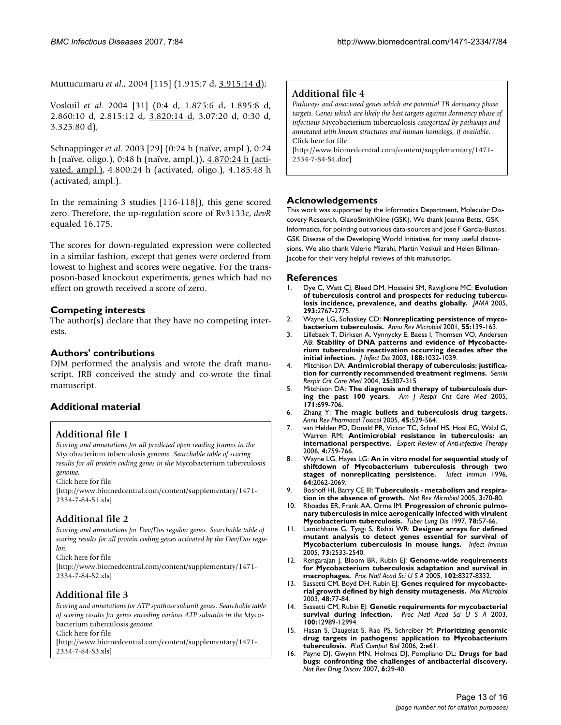Muttucumaru *et al*., 2004 [115] (1.915:7 d, 3.915:14 d);

Voskuil *et al*. 2004 [31] (0:4 d, 1.875:6 d, 1.895:8 d, 2.860:10 d, 2.815:12 d, 3.820:14 d, 3.07:20 d, 0:30 d, 3.325:80 d);

Schnappinger *et al*. 2003 [29] (0:24 h (naïve, ampl.), 0:24 h (naïve, oligo.), 0:48 h (naïve, ampl.)), 4.870:24 h (activated, ampl.), 4.800:24 h (activated, oligo.), 4.185:48 h (activated, ampl.).

In the remaining 3 studies [116-118]), this gene scored zero. Therefore, the up-regulation score of Rv3133c, *devR* equaled 16.175.

The scores for down-regulated expression were collected in a similar fashion, except that genes were ordered from lowest to highest and scores were negative. For the transposon-based knockout experiments, genes which had no effect on growth received a score of zero.

#### **Competing interests**

The author(s) declare that they have no competing interests.

#### **Authors' contributions**

DJM performed the analysis and wrote the draft manuscript. JRB conceived the study and co-wrote the final manuscript.

## **Additional material**

## **Additional file 1**

*Scoring and annotations for all predicted open reading frames in the*  Mycobacterium tuberculosis *genome. Searchable table of scoring results for all protein coding genes in the* Mycobacterium tuberculosis *genome.*

Click here for file

[\[http://www.biomedcentral.com/content/supplementary/1471-](http://www.biomedcentral.com/content/supplementary/1471-2334-7-84-S1.xls) 2334-7-84-S1.xls]

# **Additional file 2**

*Scoring and annotations for Dev/Dos regulon genes. Searchable table of scoring results for all protein coding genes activated by the Dev/Dos regulon.*

Click here for file

[\[http://www.biomedcentral.com/content/supplementary/1471-](http://www.biomedcentral.com/content/supplementary/1471-2334-7-84-S2.xls) 2334-7-84-S2.xls]

# **Additional file 3**

*Scoring and annotations for ATP synthase subunit genes. Searchable table of scoring results for genes encoding various ATP subunits in the* Mycobacterium tuberculosis *genome.* Click here for file

[\[http://www.biomedcentral.com/content/supplementary/1471-](http://www.biomedcentral.com/content/supplementary/1471-2334-7-84-S3.xls) 2334-7-84-S3.xls]

## **Additional file 4**

*Pathways and associated genes which are potential TB dormancy phase targets. Genes which are likely the best targets against dormancy phase of infectious* Mycobacterium tubercuolosis *categorized by pathways and annotated with known structures and human homologs, if available.* Click here for file

[\[http://www.biomedcentral.com/content/supplementary/1471-](http://www.biomedcentral.com/content/supplementary/1471-2334-7-84-S4.doc) 2334-7-84-S4.doc]

#### **Acknowledgements**

This work was supported by the Informatics Department, Molecular Discovery Research, GlaxoSmithKline (GSK). We thank Joanna Betts, GSK Informatics, for pointing out various data-sources and Jose F Garcia-Bustos, GSK Disease of the Developing World Initiative, for many useful discussions. We also thank Valerie Mizrahi, Martin Voskuil and Helen Billman-Jacobe for their very helpful reviews of this manuscript.

#### **References**

- 1. Dye C, Watt CJ, Bleed DM, Hosseini SM, Raviglione MC: **[Evolution](http://www.ncbi.nlm.nih.gov/entrez/query.fcgi?cmd=Retrieve&db=PubMed&dopt=Abstract&list_uids=15941807) [of tuberculosis control and prospects for reducing tubercu](http://www.ncbi.nlm.nih.gov/entrez/query.fcgi?cmd=Retrieve&db=PubMed&dopt=Abstract&list_uids=15941807)[losis incidence, prevalence, and deaths globally.](http://www.ncbi.nlm.nih.gov/entrez/query.fcgi?cmd=Retrieve&db=PubMed&dopt=Abstract&list_uids=15941807)** *JAMA* 2005, **293:**2767-2775.
- 2. Wayne LG, Sohaskey CD: **[Nonreplicating persistence of myco](http://www.ncbi.nlm.nih.gov/entrez/query.fcgi?cmd=Retrieve&db=PubMed&dopt=Abstract&list_uids=11544352)[bacterium tuberculosis.](http://www.ncbi.nlm.nih.gov/entrez/query.fcgi?cmd=Retrieve&db=PubMed&dopt=Abstract&list_uids=11544352)** *Annu Rev Microbiol* 2001, **55:**139-163.
- 3. Lillebaek T, Dirksen A, Vynnycky E, Baess I, Thomsen VO, Andersen AB: **[Stability of DNA patterns and evidence of Mycobacte](http://www.ncbi.nlm.nih.gov/entrez/query.fcgi?cmd=Retrieve&db=PubMed&dopt=Abstract&list_uids=14513424)[rium tuberculosis reactivation occurring decades after the](http://www.ncbi.nlm.nih.gov/entrez/query.fcgi?cmd=Retrieve&db=PubMed&dopt=Abstract&list_uids=14513424) [initial infection.](http://www.ncbi.nlm.nih.gov/entrez/query.fcgi?cmd=Retrieve&db=PubMed&dopt=Abstract&list_uids=14513424)** *J Infect Dis* 2003, **188:**1032-1039.
- 4. Mitchison DA: **[Antimicrobial therapy of tuberculosis: justifica](http://www.ncbi.nlm.nih.gov/entrez/query.fcgi?cmd=Retrieve&db=PubMed&dopt=Abstract&list_uids=16088472)[tion for currently recommended treatment regimens.](http://www.ncbi.nlm.nih.gov/entrez/query.fcgi?cmd=Retrieve&db=PubMed&dopt=Abstract&list_uids=16088472)** *Semin Respir Crit Care Med* 2004, **25:**307-315.
- 5. Mitchison DA: **[The diagnosis and therapy of tuberculosis dur](http://www.ncbi.nlm.nih.gov/entrez/query.fcgi?cmd=Retrieve&db=PubMed&dopt=Abstract&list_uids=15709048)[ing the past 100 years.](http://www.ncbi.nlm.nih.gov/entrez/query.fcgi?cmd=Retrieve&db=PubMed&dopt=Abstract&list_uids=15709048)** *Am J Respir Crit Care Med* 2005, **171:**699-706.
- 6. Zhang Y: **[The magic bullets and tuberculosis drug targets.](http://www.ncbi.nlm.nih.gov/entrez/query.fcgi?cmd=Retrieve&db=PubMed&dopt=Abstract&list_uids=15822188)** *Annu Rev Pharmacol Toxicol* 2005, **45:**529-564.
- 7. van Helden PD, Donald PR, Victor TC, Schaaf HS, Hoal EG, Walzl G, Warren RM: **[Antimicrobial resistance in tuberculosis: an](http://www.ncbi.nlm.nih.gov/entrez/query.fcgi?cmd=Retrieve&db=PubMed&dopt=Abstract&list_uids=17140353) [international perspective.](http://www.ncbi.nlm.nih.gov/entrez/query.fcgi?cmd=Retrieve&db=PubMed&dopt=Abstract&list_uids=17140353)** *Expert Review of Anti-infective Therapy* 2006, **4:**759-766.
- 8. Wayne LG, Hayes LG: **[An in vitro model for sequential study of](http://www.ncbi.nlm.nih.gov/entrez/query.fcgi?cmd=Retrieve&db=PubMed&dopt=Abstract&list_uids=8675308) [shiftdown of Mycobacterium tuberculosis through two](http://www.ncbi.nlm.nih.gov/entrez/query.fcgi?cmd=Retrieve&db=PubMed&dopt=Abstract&list_uids=8675308) [stages of nonreplicating persistence.](http://www.ncbi.nlm.nih.gov/entrez/query.fcgi?cmd=Retrieve&db=PubMed&dopt=Abstract&list_uids=8675308)** *Infect Immun* 1996, **64:**2062-2069.
- 9. Boshoff HI, Barry CE III: **[Tuberculosis metabolism and respira](http://www.ncbi.nlm.nih.gov/entrez/query.fcgi?cmd=Retrieve&db=PubMed&dopt=Abstract&list_uids=15608701)[tion in the absence of growth.](http://www.ncbi.nlm.nih.gov/entrez/query.fcgi?cmd=Retrieve&db=PubMed&dopt=Abstract&list_uids=15608701)** *Nat Rev Microbiol* 2005, **3:**70-80.
- 10. Rhoades ER, Frank AA, Orme IM: **[Progression of chronic pulmo](http://www.ncbi.nlm.nih.gov/entrez/query.fcgi?cmd=Retrieve&db=PubMed&dopt=Abstract&list_uids=9666963)[nary tuberculosis in mice aerogenically infected with virulent](http://www.ncbi.nlm.nih.gov/entrez/query.fcgi?cmd=Retrieve&db=PubMed&dopt=Abstract&list_uids=9666963) [Mycobacterium tuberculosis.](http://www.ncbi.nlm.nih.gov/entrez/query.fcgi?cmd=Retrieve&db=PubMed&dopt=Abstract&list_uids=9666963)** *Tuber Lung Dis* 1997, **78:**57-66.
- 11. Lamichhane G, Tyagi S, Bishai WR: **[Designer arrays for defined](http://www.ncbi.nlm.nih.gov/entrez/query.fcgi?cmd=Retrieve&db=PubMed&dopt=Abstract&list_uids=15784600) [mutant analysis to detect genes essential for survival of](http://www.ncbi.nlm.nih.gov/entrez/query.fcgi?cmd=Retrieve&db=PubMed&dopt=Abstract&list_uids=15784600) [Mycobacterium tuberculosis in mouse lungs.](http://www.ncbi.nlm.nih.gov/entrez/query.fcgi?cmd=Retrieve&db=PubMed&dopt=Abstract&list_uids=15784600)** *Infect Immun* 2005, **73:**2533-2540.
- 12. Rengarajan J, Bloom BR, Rubin EJ: **[Genome-wide requirements](http://www.ncbi.nlm.nih.gov/entrez/query.fcgi?cmd=Retrieve&db=PubMed&dopt=Abstract&list_uids=15928073) [for Mycobacterium tuberculosis adaptation and survival in](http://www.ncbi.nlm.nih.gov/entrez/query.fcgi?cmd=Retrieve&db=PubMed&dopt=Abstract&list_uids=15928073) [macrophages.](http://www.ncbi.nlm.nih.gov/entrez/query.fcgi?cmd=Retrieve&db=PubMed&dopt=Abstract&list_uids=15928073)** *Proc Natl Acad Sci U S A* 2005, **102:**8327-8332.
- 13. Sassetti CM, Boyd DH, Rubin EJ: [Genes required for mycobacte](http://www.ncbi.nlm.nih.gov/entrez/query.fcgi?cmd=Retrieve&db=PubMed&dopt=Abstract&list_uids=12657046)**[rial growth defined by high density mutagenesis.](http://www.ncbi.nlm.nih.gov/entrez/query.fcgi?cmd=Retrieve&db=PubMed&dopt=Abstract&list_uids=12657046)** *Mol Microbiol* 2003, **48:**77-84.
- 14. Sassetti CM, Rubin EJ: **[Genetic requirements for mycobacterial](http://www.ncbi.nlm.nih.gov/entrez/query.fcgi?cmd=Retrieve&db=PubMed&dopt=Abstract&list_uids=14569030) [survival during infection.](http://www.ncbi.nlm.nih.gov/entrez/query.fcgi?cmd=Retrieve&db=PubMed&dopt=Abstract&list_uids=14569030)** *Proc Natl Acad Sci U S A* 2003, **100:**12989-12994.
- 15. Hasan S, Daugelat S, Rao PS, Schreiber M: **[Prioritizing genomic](http://www.ncbi.nlm.nih.gov/entrez/query.fcgi?cmd=Retrieve&db=PubMed&dopt=Abstract&list_uids=16789813) [drug targets in pathogens: application to Mycobacterium](http://www.ncbi.nlm.nih.gov/entrez/query.fcgi?cmd=Retrieve&db=PubMed&dopt=Abstract&list_uids=16789813) [tuberculosis.](http://www.ncbi.nlm.nih.gov/entrez/query.fcgi?cmd=Retrieve&db=PubMed&dopt=Abstract&list_uids=16789813)** *PLoS Comput Biol* 2006, **2:**e61.
- 16. Payne DJ, Gwynn MN, Holmes DJ, Pompliano DL: **[Drugs for bad](http://www.ncbi.nlm.nih.gov/entrez/query.fcgi?cmd=Retrieve&db=PubMed&dopt=Abstract&list_uids=17159923) [bugs: confronting the challenges of antibacterial discovery.](http://www.ncbi.nlm.nih.gov/entrez/query.fcgi?cmd=Retrieve&db=PubMed&dopt=Abstract&list_uids=17159923)** *Nat Rev Drug Discov* 2007, **6:**29-40.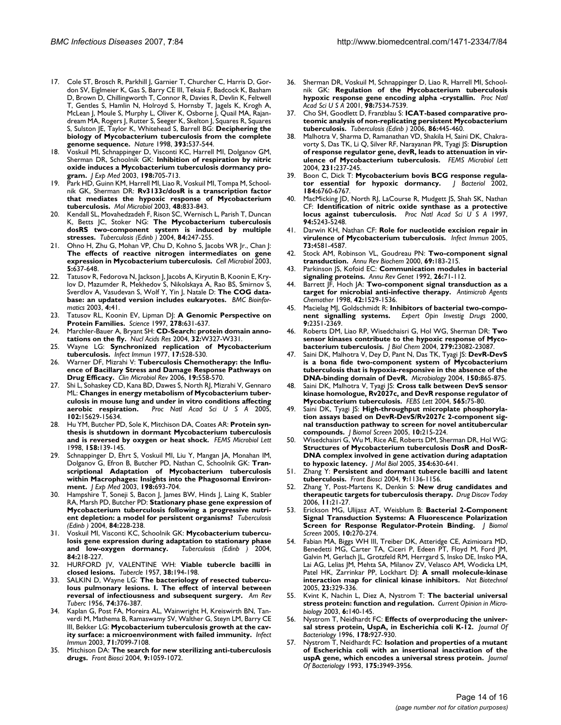- 17. Cole ST, Brosch R, Parkhill J, Garnier T, Churcher C, Harris D, Gordon SV, Eiglmeier K, Gas S, Barry CE III, Tekaia F, Badcock K, Basham D, Brown D, Chillingworth T, Connor R, Davies R, Devlin K, Feltwell T, Gentles S, Hamlin N, Holroyd S, Hornsby T, Jagels K, Krogh A, McLean J, Moule S, Murphy L, Oliver K, Osborne J, Quail MA, Rajandream MA, Rogers J, Rutter S, Seeger K, Skelton J, Squares R, Squares S, Sulston JE, Taylor K, Whitehead S, Barrell BG: **[Deciphering the](http://www.ncbi.nlm.nih.gov/entrez/query.fcgi?cmd=Retrieve&db=PubMed&dopt=Abstract&list_uids=9634230) [biology of Mycobacterium tuberculosis from the complete](http://www.ncbi.nlm.nih.gov/entrez/query.fcgi?cmd=Retrieve&db=PubMed&dopt=Abstract&list_uids=9634230) [genome sequence.](http://www.ncbi.nlm.nih.gov/entrez/query.fcgi?cmd=Retrieve&db=PubMed&dopt=Abstract&list_uids=9634230)** *Nature* 1998, **393:**537-544.
- 18. Voskuil MI, Schnappinger D, Visconti KC, Harrell MI, Dolganov GM, Sherman DR, Schoolnik GK: **[Inhibition of respiration by nitric](http://www.ncbi.nlm.nih.gov/entrez/query.fcgi?cmd=Retrieve&db=PubMed&dopt=Abstract&list_uids=12953092) [oxide induces a Mycobacterium tuberculosis dormancy pro](http://www.ncbi.nlm.nih.gov/entrez/query.fcgi?cmd=Retrieve&db=PubMed&dopt=Abstract&list_uids=12953092)[gram.](http://www.ncbi.nlm.nih.gov/entrez/query.fcgi?cmd=Retrieve&db=PubMed&dopt=Abstract&list_uids=12953092)** *J Exp Med* 2003, **198:**705-713.
- Park HD, Guinn KM, Harrell MI, Liao R, Voskuil MI, Tompa M, Schoolnik GK, Sherman DR: **[Rv3133c/dosR is a transcription factor](http://www.ncbi.nlm.nih.gov/entrez/query.fcgi?cmd=Retrieve&db=PubMed&dopt=Abstract&list_uids=12694625) [that mediates the hypoxic response of Mycobacterium](http://www.ncbi.nlm.nih.gov/entrez/query.fcgi?cmd=Retrieve&db=PubMed&dopt=Abstract&list_uids=12694625) [tuberculosis.](http://www.ncbi.nlm.nih.gov/entrez/query.fcgi?cmd=Retrieve&db=PubMed&dopt=Abstract&list_uids=12694625)** *Mol Microbiol* 2003, **48:**833-843.
- 20. Kendall SL, Movahedzadeh F, Rison SC, Wernisch L, Parish T, Duncan K, Betts JC, Stoker NG: **[The Mycobacterium tuberculosis](http://www.ncbi.nlm.nih.gov/entrez/query.fcgi?cmd=Retrieve&db=PubMed&dopt=Abstract&list_uids=15207494) [dosRS two-component system is induced by multiple](http://www.ncbi.nlm.nih.gov/entrez/query.fcgi?cmd=Retrieve&db=PubMed&dopt=Abstract&list_uids=15207494) [stresses.](http://www.ncbi.nlm.nih.gov/entrez/query.fcgi?cmd=Retrieve&db=PubMed&dopt=Abstract&list_uids=15207494)** *Tuberculosis (Edinb )* 2004, **84:**247-255.
- 21. Ohno H, Zhu G, Mohan VP, Chu D, Kohno S, Jacobs WR Jr., Chan J: **[The effects of reactive nitrogen intermediates on gene](http://www.ncbi.nlm.nih.gov/entrez/query.fcgi?cmd=Retrieve&db=PubMed&dopt=Abstract&list_uids=12925133) [expression in Mycobacterium tuberculosis.](http://www.ncbi.nlm.nih.gov/entrez/query.fcgi?cmd=Retrieve&db=PubMed&dopt=Abstract&list_uids=12925133)** *Cell Microbiol* 2003, **5:**637-648.
- 22. Tatusov R, Fedorova N, Jackson J, Jacobs A, Kiryutin B, Koonin E, Krylov D, Mazumder R, Mekhedov S, Nikolskaya A, Rao BS, Smirnov S, Sverdlov A, Vasudevan S, Wolf Y, Yin J, Natale D: **[The COG data](http://www.ncbi.nlm.nih.gov/entrez/query.fcgi?cmd=Retrieve&db=PubMed&dopt=Abstract&list_uids=12969510)[base: an updated version includes eukaryotes.](http://www.ncbi.nlm.nih.gov/entrez/query.fcgi?cmd=Retrieve&db=PubMed&dopt=Abstract&list_uids=12969510)** *BMC Bioinformatics* 2003, **4:**41.
- 23. Tatusov RL, Koonin EV, Lipman DJ: **[A Genomic Perspective on](http://www.ncbi.nlm.nih.gov/entrez/query.fcgi?cmd=Retrieve&db=PubMed&dopt=Abstract&list_uids=9381173) [Protein Families.](http://www.ncbi.nlm.nih.gov/entrez/query.fcgi?cmd=Retrieve&db=PubMed&dopt=Abstract&list_uids=9381173)** *Science* 1997, **278:**631-637.
- 24. Marchler-Bauer A, Bryant SH: **[CD-Search: protein domain anno](http://www.ncbi.nlm.nih.gov/entrez/query.fcgi?cmd=Retrieve&db=PubMed&dopt=Abstract&list_uids=15215404)[tations on the fly.](http://www.ncbi.nlm.nih.gov/entrez/query.fcgi?cmd=Retrieve&db=PubMed&dopt=Abstract&list_uids=15215404)** *Nucl Acids Res* 2004, **32:**W327-W331.
- 25. Wayne LG: **[Synchronized replication of Mycobacterium](http://www.ncbi.nlm.nih.gov/entrez/query.fcgi?cmd=Retrieve&db=PubMed&dopt=Abstract&list_uids=409675) [tuberculosis.](http://www.ncbi.nlm.nih.gov/entrez/query.fcgi?cmd=Retrieve&db=PubMed&dopt=Abstract&list_uids=409675)** *Infect Immun* 1977, **17:**528-530.
- 26. Warner DF, Mizrahi V: **[Tuberculosis Chemotherapy: the Influ](http://www.ncbi.nlm.nih.gov/entrez/query.fcgi?cmd=Retrieve&db=PubMed&dopt=Abstract&list_uids=16847086)[ence of Bacillary Stress and Damage Response Pathways on](http://www.ncbi.nlm.nih.gov/entrez/query.fcgi?cmd=Retrieve&db=PubMed&dopt=Abstract&list_uids=16847086) [Drug Efficacy.](http://www.ncbi.nlm.nih.gov/entrez/query.fcgi?cmd=Retrieve&db=PubMed&dopt=Abstract&list_uids=16847086)** *Clin Microbiol Rev* 2006, **19:**558-570.
- 27. Shi L, Sohaskey CD, Kana BD, Dawes S, North RJ, Mizrahi V, Gennaro ML: **[Changes in energy metabolism of Mycobacterium tuber](http://www.ncbi.nlm.nih.gov/entrez/query.fcgi?cmd=Retrieve&db=PubMed&dopt=Abstract&list_uids=16227431)[culosis in mouse lung and under in vitro conditions affecting](http://www.ncbi.nlm.nih.gov/entrez/query.fcgi?cmd=Retrieve&db=PubMed&dopt=Abstract&list_uids=16227431) [aerobic respiration.](http://www.ncbi.nlm.nih.gov/entrez/query.fcgi?cmd=Retrieve&db=PubMed&dopt=Abstract&list_uids=16227431)** *Proc Natl Acad Sci U S A* 2005, **102:**15629-15634.
- 28. Hu YM, Butcher PD, Sole K, Mitchison DA, Coates AR: **[Protein syn](http://www.ncbi.nlm.nih.gov/entrez/query.fcgi?cmd=Retrieve&db=PubMed&dopt=Abstract&list_uids=9453166)[thesis is shutdown in dormant Mycobacterium tuberculosis](http://www.ncbi.nlm.nih.gov/entrez/query.fcgi?cmd=Retrieve&db=PubMed&dopt=Abstract&list_uids=9453166) [and is reversed by oxygen or heat shock.](http://www.ncbi.nlm.nih.gov/entrez/query.fcgi?cmd=Retrieve&db=PubMed&dopt=Abstract&list_uids=9453166)** *FEMS Microbiol Lett* 1998, **158:**139-145.
- 29. Schnappinger D, Ehrt S, Voskuil MI, Liu Y, Mangan JA, Monahan IM, Dolganov G, Efron B, Butcher PD, Nathan C, Schoolnik GK: **[Tran](http://www.ncbi.nlm.nih.gov/entrez/query.fcgi?cmd=Retrieve&db=PubMed&dopt=Abstract&list_uids=12953091)scriptional Adaptation of Mycobacterium tuberculosis [within Macrophages: Insights into the Phagosomal Environ](http://www.ncbi.nlm.nih.gov/entrez/query.fcgi?cmd=Retrieve&db=PubMed&dopt=Abstract&list_uids=12953091)[ment.](http://www.ncbi.nlm.nih.gov/entrez/query.fcgi?cmd=Retrieve&db=PubMed&dopt=Abstract&list_uids=12953091)** *J Exp Med* 2003, **198:**693-704.
- 30. Hampshire T, Soneji S, Bacon J, James BW, Hinds J, Laing K, Stabler RA, Marsh PD, Butcher PD: **[Stationary phase gene expression of](http://www.ncbi.nlm.nih.gov/entrez/query.fcgi?cmd=Retrieve&db=PubMed&dopt=Abstract&list_uids=15207492) [Mycobacterium tuberculosis following a progressive nutri](http://www.ncbi.nlm.nih.gov/entrez/query.fcgi?cmd=Retrieve&db=PubMed&dopt=Abstract&list_uids=15207492)[ent depletion: a model for persistent organisms?](http://www.ncbi.nlm.nih.gov/entrez/query.fcgi?cmd=Retrieve&db=PubMed&dopt=Abstract&list_uids=15207492)** *Tuberculosis (Edinb )* 2004, **84:**228-238.
- 31. Voskuil MI, Visconti KC, Schoolnik GK: **[Mycobacterium tubercu](http://www.ncbi.nlm.nih.gov/entrez/query.fcgi?cmd=Retrieve&db=PubMed&dopt=Abstract&list_uids=15207491)[losis gene expression during adaptation to stationary phase](http://www.ncbi.nlm.nih.gov/entrez/query.fcgi?cmd=Retrieve&db=PubMed&dopt=Abstract&list_uids=15207491) [and low-oxygen dormancy.](http://www.ncbi.nlm.nih.gov/entrez/query.fcgi?cmd=Retrieve&db=PubMed&dopt=Abstract&list_uids=15207491)** *Tuberculosis (Edinb )* 2004, and low-oxygen dormancy.<br>**84:**218-227.
- 32. HURFORD JV, VALENTINE WH: **[Viable tubercle bacilli in](http://www.ncbi.nlm.nih.gov/entrez/query.fcgi?cmd=Retrieve&db=PubMed&dopt=Abstract&list_uids=13455776) [closed lesions.](http://www.ncbi.nlm.nih.gov/entrez/query.fcgi?cmd=Retrieve&db=PubMed&dopt=Abstract&list_uids=13455776)** *Tubercle* 1957, **38:**194-198.
- 33. SALKIN D, Wayne LG: **[The bacteriology of resected tubercu](http://www.ncbi.nlm.nih.gov/entrez/query.fcgi?cmd=Retrieve&db=PubMed&dopt=Abstract&list_uids=13354921)[lous pulmonary lesions. I. The effect of interval between](http://www.ncbi.nlm.nih.gov/entrez/query.fcgi?cmd=Retrieve&db=PubMed&dopt=Abstract&list_uids=13354921) [reversal of infectiousness and subsequent surgery.](http://www.ncbi.nlm.nih.gov/entrez/query.fcgi?cmd=Retrieve&db=PubMed&dopt=Abstract&list_uids=13354921)** *Am Rev Tuberc* 1956, **74:**376-387.
- 34. Kaplan G, Post FA, Moreira AL, Wainwright H, Kreiswirth BN, Tanverdi M, Mathema B, Ramaswamy SV, Walther G, Steyn LM, Barry CE III, Bekker LG: **[Mycobacterium tuberculosis growth at the cav](http://www.ncbi.nlm.nih.gov/entrez/query.fcgi?cmd=Retrieve&db=PubMed&dopt=Abstract&list_uids=14638800)[ity surface: a microenvironment with failed immunity.](http://www.ncbi.nlm.nih.gov/entrez/query.fcgi?cmd=Retrieve&db=PubMed&dopt=Abstract&list_uids=14638800)** *Infect Immun* 2003, **71:**7099-7108.
- 35. Mitchison DA: **[The search for new sterilizing anti-tuberculosis](http://www.ncbi.nlm.nih.gov/entrez/query.fcgi?cmd=Retrieve&db=PubMed&dopt=Abstract&list_uids=14977529) [drugs.](http://www.ncbi.nlm.nih.gov/entrez/query.fcgi?cmd=Retrieve&db=PubMed&dopt=Abstract&list_uids=14977529)** *Front Biosci* 2004, **9:**1059-1072.
- 36. Sherman DR, Voskuil M, Schnappinger D, Liao R, Harrell MI, Schoolnik GK: **[Regulation of the Mycobacterium tuberculosis](http://www.ncbi.nlm.nih.gov/entrez/query.fcgi?cmd=Retrieve&db=PubMed&dopt=Abstract&list_uids=11416222) [hypoxic response gene encoding alpha -crystallin.](http://www.ncbi.nlm.nih.gov/entrez/query.fcgi?cmd=Retrieve&db=PubMed&dopt=Abstract&list_uids=11416222)** *Proc Natl Acad Sci U S A* 2001, **98:**7534-7539.
- 37. Cho SH, Goodlett D, Franzblau S: **[ICAT-based comparative pro](http://www.ncbi.nlm.nih.gov/entrez/query.fcgi?cmd=Retrieve&db=PubMed&dopt=Abstract&list_uids=16376151)[teomic analysis of non-replicating persistent Mycobacterium](http://www.ncbi.nlm.nih.gov/entrez/query.fcgi?cmd=Retrieve&db=PubMed&dopt=Abstract&list_uids=16376151) [tuberculosis.](http://www.ncbi.nlm.nih.gov/entrez/query.fcgi?cmd=Retrieve&db=PubMed&dopt=Abstract&list_uids=16376151)** *Tuberculosis (Edinb )* 2006, **86:**445-460.
- 38. Malhotra V, Sharma D, Ramanathan VD, Shakila H, Saini DK, Chakravorty S, Das TK, Li Q, Silver RF, Narayanan PR, Tyagi JS: **[Disruption](http://www.ncbi.nlm.nih.gov/entrez/query.fcgi?cmd=Retrieve&db=PubMed&dopt=Abstract&list_uids=14987770) [of response regulator gene, devR, leads to attenuation in vir](http://www.ncbi.nlm.nih.gov/entrez/query.fcgi?cmd=Retrieve&db=PubMed&dopt=Abstract&list_uids=14987770)[ulence of Mycobacterium tuberculosis.](http://www.ncbi.nlm.nih.gov/entrez/query.fcgi?cmd=Retrieve&db=PubMed&dopt=Abstract&list_uids=14987770)** *FEMS Microbiol Lett* 2004, **231:**237-245.
- 39. Boon C, Dick T: **[Mycobacterium bovis BCG response regula](http://www.ncbi.nlm.nih.gov/entrez/query.fcgi?cmd=Retrieve&db=PubMed&dopt=Abstract&list_uids=12446625)[tor essential for hypoxic dormancy.](http://www.ncbi.nlm.nih.gov/entrez/query.fcgi?cmd=Retrieve&db=PubMed&dopt=Abstract&list_uids=12446625)** *J Bacteriol* 2002, **184:**6760-6767.
- 40. MacMicking JD, North RJ, LaCourse R, Mudgett JS, Shah SK, Nathan CF: **[Identification of nitric oxide synthase as a protective](http://www.ncbi.nlm.nih.gov/entrez/query.fcgi?cmd=Retrieve&db=PubMed&dopt=Abstract&list_uids=9144222) [locus against tuberculosis.](http://www.ncbi.nlm.nih.gov/entrez/query.fcgi?cmd=Retrieve&db=PubMed&dopt=Abstract&list_uids=9144222)** *Proc Natl Acad Sci U S A* 1997, **94:**5243-5248.
- 41. Darwin KH, Nathan CF: **[Role for nucleotide excision repair in](http://www.ncbi.nlm.nih.gov/entrez/query.fcgi?cmd=Retrieve&db=PubMed&dopt=Abstract&list_uids=16040969) [virulence of Mycobacterium tuberculosis.](http://www.ncbi.nlm.nih.gov/entrez/query.fcgi?cmd=Retrieve&db=PubMed&dopt=Abstract&list_uids=16040969)** *Infect Immun* 2005, **73:**4581-4587.
- 42. Stock AM, Robinson VL, Goudreau PN: **[Two-component signal](http://www.ncbi.nlm.nih.gov/entrez/query.fcgi?cmd=Retrieve&db=PubMed&dopt=Abstract&list_uids=10966457) [transduction.](http://www.ncbi.nlm.nih.gov/entrez/query.fcgi?cmd=Retrieve&db=PubMed&dopt=Abstract&list_uids=10966457)** *Annu Rev Biochem* 2000, **69:**183-215.
- 43. Parkinson JS, Kofoid EC: **[Communication modules in bacterial](http://www.ncbi.nlm.nih.gov/entrez/query.fcgi?cmd=Retrieve&db=PubMed&dopt=Abstract&list_uids=1482126) [signaling proteins.](http://www.ncbi.nlm.nih.gov/entrez/query.fcgi?cmd=Retrieve&db=PubMed&dopt=Abstract&list_uids=1482126)** *Annu Rev Genet* 1992, **26:**71-112.
- 44. Barrett JF, Hoch JA: **[Two-component signal transduction as a](http://www.ncbi.nlm.nih.gov/entrez/query.fcgi?cmd=Retrieve&db=PubMed&dopt=Abstract&list_uids=9660978) [target for microbial anti-infective therapy.](http://www.ncbi.nlm.nih.gov/entrez/query.fcgi?cmd=Retrieve&db=PubMed&dopt=Abstract&list_uids=9660978)** *Antimicrob Agents Chemother* 1998, **42:**1529-1536.
- 45. Macielag MJ, Goldschmidt R: **[Inhibitors of bacterial two-compo](http://www.ncbi.nlm.nih.gov/entrez/query.fcgi?cmd=Retrieve&db=PubMed&dopt=Abstract&list_uids=11060812)[nent signalling systems.](http://www.ncbi.nlm.nih.gov/entrez/query.fcgi?cmd=Retrieve&db=PubMed&dopt=Abstract&list_uids=11060812)** *Expert Opin Investig Drugs* 2000, **9:**2351-2369.
- 46. Roberts DM, Liao RP, Wisedchaisri G, Hol WG, Sherman DR: **[Two](http://www.ncbi.nlm.nih.gov/entrez/query.fcgi?cmd=Retrieve&db=PubMed&dopt=Abstract&list_uids=15033981) [sensor kinases contribute to the hypoxic response of Myco](http://www.ncbi.nlm.nih.gov/entrez/query.fcgi?cmd=Retrieve&db=PubMed&dopt=Abstract&list_uids=15033981)[bacterium tuberculosis.](http://www.ncbi.nlm.nih.gov/entrez/query.fcgi?cmd=Retrieve&db=PubMed&dopt=Abstract&list_uids=15033981)** *J Biol Chem* 2004, **279:**23082-23087.
- 47. Saini DK, Malhotra V, Dey D, Pant N, Das TK, Tyagi JS: **[DevR-DevS](http://www.ncbi.nlm.nih.gov/entrez/query.fcgi?cmd=Retrieve&db=PubMed&dopt=Abstract&list_uids=15073296) is a bona fide two-component system of Mycobacterium [tuberculosis that is hypoxia-responsive in the absence of the](http://www.ncbi.nlm.nih.gov/entrez/query.fcgi?cmd=Retrieve&db=PubMed&dopt=Abstract&list_uids=15073296) [DNA-binding domain of DevR.](http://www.ncbi.nlm.nih.gov/entrez/query.fcgi?cmd=Retrieve&db=PubMed&dopt=Abstract&list_uids=15073296)** *Microbiology* 2004, **150:**865-875.
- 48. Saini DK, Malhotra V, Tyagi JS: **[Cross talk between DevS sensor](http://www.ncbi.nlm.nih.gov/entrez/query.fcgi?cmd=Retrieve&db=PubMed&dopt=Abstract&list_uids=15135056) [kinase homologue, Rv2027c, and DevR response regulator of](http://www.ncbi.nlm.nih.gov/entrez/query.fcgi?cmd=Retrieve&db=PubMed&dopt=Abstract&list_uids=15135056) [Mycobacterium tuberculosis.](http://www.ncbi.nlm.nih.gov/entrez/query.fcgi?cmd=Retrieve&db=PubMed&dopt=Abstract&list_uids=15135056)** *FEBS Lett* 2004, **565:**75-80.
- 49. Saini DK, Tyagi JS: **[High-throughput microplate phosphoryla](http://www.ncbi.nlm.nih.gov/entrez/query.fcgi?cmd=Retrieve&db=PubMed&dopt=Abstract&list_uids=15809317)[tion assays based on DevR-DevS/Rv2027c 2-component sig](http://www.ncbi.nlm.nih.gov/entrez/query.fcgi?cmd=Retrieve&db=PubMed&dopt=Abstract&list_uids=15809317)nal transduction pathway to screen for novel antitubercular [compounds.](http://www.ncbi.nlm.nih.gov/entrez/query.fcgi?cmd=Retrieve&db=PubMed&dopt=Abstract&list_uids=15809317)** *J Biomol Screen* 2005, **10:**215-224.
- 50. Wisedchaisri G, Wu M, Rice AE, Roberts DM, Sherman DR, Hol WG: **[Structures of Mycobacterium tuberculosis DosR and DosR-](http://www.ncbi.nlm.nih.gov/entrez/query.fcgi?cmd=Retrieve&db=PubMed&dopt=Abstract&list_uids=16246368)DNA complex involved in gene activation during adaptation [to hypoxic latency.](http://www.ncbi.nlm.nih.gov/entrez/query.fcgi?cmd=Retrieve&db=PubMed&dopt=Abstract&list_uids=16246368)** *J Mol Biol* 2005, **354:**630-641.
- 51. Zhang Y: **[Persistent and dormant tubercle bacilli and latent](http://www.ncbi.nlm.nih.gov/entrez/query.fcgi?cmd=Retrieve&db=PubMed&dopt=Abstract&list_uids=14977534) [tuberculosis.](http://www.ncbi.nlm.nih.gov/entrez/query.fcgi?cmd=Retrieve&db=PubMed&dopt=Abstract&list_uids=14977534)** *Front Biosci* 2004, **9:**1136-1156.
- 52. Zhang Y, Post-Martens K, Denkin S: **[New drug candidates and](http://www.ncbi.nlm.nih.gov/entrez/query.fcgi?cmd=Retrieve&db=PubMed&dopt=Abstract&list_uids=16478687) [therapeutic targets for tuberculosis therapy.](http://www.ncbi.nlm.nih.gov/entrez/query.fcgi?cmd=Retrieve&db=PubMed&dopt=Abstract&list_uids=16478687)** *Drug Discov Today* 2006, **11:**21-27.
- 53. Erickson MG, Ulijasz AT, Weisblum B: **[Bacterial 2-Component](http://www.ncbi.nlm.nih.gov/entrez/query.fcgi?cmd=Retrieve&db=PubMed&dopt=Abstract&list_uids=15809323) [Signal Transduction Systems: A Fluorescence Polarization](http://www.ncbi.nlm.nih.gov/entrez/query.fcgi?cmd=Retrieve&db=PubMed&dopt=Abstract&list_uids=15809323) [Screen for Response Regulator-Protein Binding.](http://www.ncbi.nlm.nih.gov/entrez/query.fcgi?cmd=Retrieve&db=PubMed&dopt=Abstract&list_uids=15809323)** *J Biomol Screen* 2005, **10:**270-274.
- 54. Fabian MA, Biggs WH III, Treiber DK, Atteridge CE, Azimioara MD, Benedetti MG, Carter TA, Ciceri P, Edeen PT, Floyd M, Ford JM, Galvin M, Gerlach JL, Grotzfeld RM, Herrgard S, Insko DE, Insko MA, Lai AG, Lelias JM, Mehta SA, Milanov ZV, Velasco AM, Wodicka LM, Patel HK, Zarrinkar PP, Lockhart DJ: **[A small molecule-kinase](http://www.ncbi.nlm.nih.gov/entrez/query.fcgi?cmd=Retrieve&db=PubMed&dopt=Abstract&list_uids=15711537) [interaction map for clinical kinase inhibitors.](http://www.ncbi.nlm.nih.gov/entrez/query.fcgi?cmd=Retrieve&db=PubMed&dopt=Abstract&list_uids=15711537)** *Nat Biotechnol* 2005, **23:**329-336.
- 55. Kvint K, Nachin L, Diez A, Nystrom T: **[The bacterial universal](http://www.ncbi.nlm.nih.gov/entrez/query.fcgi?cmd=Retrieve&db=PubMed&dopt=Abstract&list_uids=12732303) [stress protein: function and regulation.](http://www.ncbi.nlm.nih.gov/entrez/query.fcgi?cmd=Retrieve&db=PubMed&dopt=Abstract&list_uids=12732303)** *Current Opinion in Microbiology* 2003, **6:**140-145.
- 56. Nystrom T, Neidhardt FC: **[Effects of overproducing the univer](http://www.ncbi.nlm.nih.gov/entrez/query.fcgi?cmd=Retrieve&db=PubMed&dopt=Abstract&list_uids=8550536)[sal stress protein, UspA, in Escherichia coli K-12.](http://www.ncbi.nlm.nih.gov/entrez/query.fcgi?cmd=Retrieve&db=PubMed&dopt=Abstract&list_uids=8550536)** *Journal Of Bacteriology* 1996, **178:**927-930.
- 57. Nystrom T, Neidhardt FC: **[Isolation and properties of a mutant](http://www.ncbi.nlm.nih.gov/entrez/query.fcgi?cmd=Retrieve&db=PubMed&dopt=Abstract&list_uids=8391533) [of Escherichia coli with an insertional inactivation of the](http://www.ncbi.nlm.nih.gov/entrez/query.fcgi?cmd=Retrieve&db=PubMed&dopt=Abstract&list_uids=8391533) [uspA gene, which encodes a universal stress protein.](http://www.ncbi.nlm.nih.gov/entrez/query.fcgi?cmd=Retrieve&db=PubMed&dopt=Abstract&list_uids=8391533)** *Journal Of Bacteriology* 1993, **175:**3949-3956.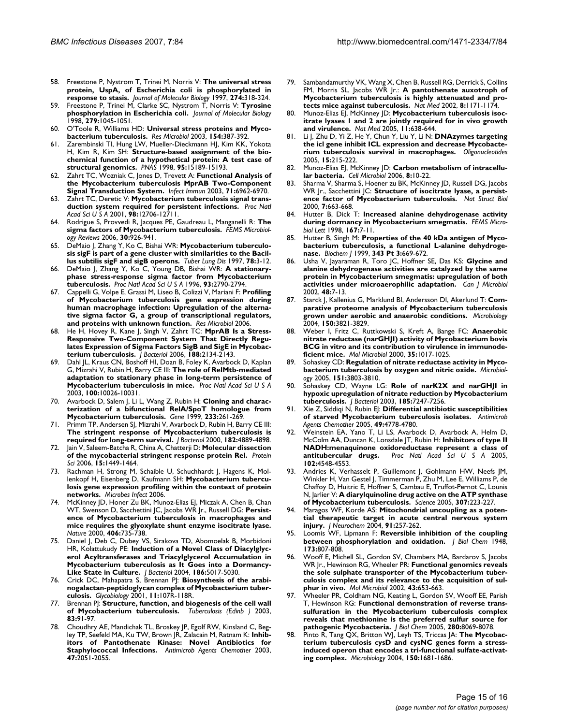- 58. Freestone P, Nystrom T, Trinei M, Norris V: **[The universal stress](http://www.ncbi.nlm.nih.gov/entrez/query.fcgi?cmd=Retrieve&db=PubMed&dopt=Abstract&list_uids=9405142) [protein, UspA, of Escherichia coli is phosphorylated in](http://www.ncbi.nlm.nih.gov/entrez/query.fcgi?cmd=Retrieve&db=PubMed&dopt=Abstract&list_uids=9405142) [response to stasis.](http://www.ncbi.nlm.nih.gov/entrez/query.fcgi?cmd=Retrieve&db=PubMed&dopt=Abstract&list_uids=9405142)** *Journal of Molecular Biology* 1997, **274:**318-324.
- 59. Freestone P, Trinei M, Clarke SC, Nystrom T, Norris V: **[Tyrosine](http://www.ncbi.nlm.nih.gov/entrez/query.fcgi?cmd=Retrieve&db=PubMed&dopt=Abstract&list_uids=9642082) [phosphorylation in Escherichia coli.](http://www.ncbi.nlm.nih.gov/entrez/query.fcgi?cmd=Retrieve&db=PubMed&dopt=Abstract&list_uids=9642082)** *Journal of Molecular Biology* 1998, **279:**1045-1051.
- 60. O'Toole R, Williams HD: **[Universal stress proteins and Myco](http://www.ncbi.nlm.nih.gov/entrez/query.fcgi?cmd=Retrieve&db=PubMed&dopt=Abstract&list_uids=12892844)[bacterium tuberculosis.](http://www.ncbi.nlm.nih.gov/entrez/query.fcgi?cmd=Retrieve&db=PubMed&dopt=Abstract&list_uids=12892844)** *Res Microbiol* 2003, **154:**387-392.
- Zarembinski TI, Hung LW, Mueller-Dieckmann HJ, Kim KK, Yokota H, Kim R, Kim SH: **[Structure-based assignment of the bio](http://www.ncbi.nlm.nih.gov/entrez/query.fcgi?cmd=Retrieve&db=PubMed&dopt=Abstract&list_uids=9860944)[chemical function of a hypothetical protein: A test case of](http://www.ncbi.nlm.nih.gov/entrez/query.fcgi?cmd=Retrieve&db=PubMed&dopt=Abstract&list_uids=9860944) [structural genomics.](http://www.ncbi.nlm.nih.gov/entrez/query.fcgi?cmd=Retrieve&db=PubMed&dopt=Abstract&list_uids=9860944)** *PNAS* 1998, **95:**15189-15193.
- 62. Zahrt TC, Wozniak C, Jones D, Trevett A: **[Functional Analysis of](http://www.ncbi.nlm.nih.gov/entrez/query.fcgi?cmd=Retrieve&db=PubMed&dopt=Abstract&list_uids=14638785) [the Mycobacterium tuberculosis MprAB Two-Component](http://www.ncbi.nlm.nih.gov/entrez/query.fcgi?cmd=Retrieve&db=PubMed&dopt=Abstract&list_uids=14638785) [Signal Transduction System.](http://www.ncbi.nlm.nih.gov/entrez/query.fcgi?cmd=Retrieve&db=PubMed&dopt=Abstract&list_uids=14638785)** *Infect Immun* 2003, **71:**6962-6970.
- 63. Zahrt TC, Deretic V: **[Mycobacterium tuberculosis signal trans](http://www.ncbi.nlm.nih.gov/entrez/query.fcgi?cmd=Retrieve&db=PubMed&dopt=Abstract&list_uids=11675502)[duction system required for persistent infections.](http://www.ncbi.nlm.nih.gov/entrez/query.fcgi?cmd=Retrieve&db=PubMed&dopt=Abstract&list_uids=11675502)** *Proc Natl Acad Sci U S A* 2001, **98:**12706-12711.
- 64. Rodrigue S, Provvedi R, Jacques PE, Gaudreau L, Manganelli R: **[The](http://www.ncbi.nlm.nih.gov/entrez/query.fcgi?cmd=Retrieve&db=PubMed&dopt=Abstract&list_uids=17064287) [sigma factors of Mycobacterium tuberculosis.](http://www.ncbi.nlm.nih.gov/entrez/query.fcgi?cmd=Retrieve&db=PubMed&dopt=Abstract&list_uids=17064287)** *FEMS Microbiology Reviews* 2006, **30:**926-941.
- 65. DeMaio J, Zhang Y, Ko C, Bishai WR: **[Mycobacterium tuberculo](http://www.ncbi.nlm.nih.gov/entrez/query.fcgi?cmd=Retrieve&db=PubMed&dopt=Abstract&list_uids=9666957)[sis sigF is part of a gene cluster with similarities to the Bacil](http://www.ncbi.nlm.nih.gov/entrez/query.fcgi?cmd=Retrieve&db=PubMed&dopt=Abstract&list_uids=9666957)[lus subtilis sigF and sigB operons.](http://www.ncbi.nlm.nih.gov/entrez/query.fcgi?cmd=Retrieve&db=PubMed&dopt=Abstract&list_uids=9666957)** *Tuber Lung Dis* 1997, **78:**3-12.
- 66. DeMaio J, Zhang Y, Ko C, Young DB, Bishai WR: **[A stationary](http://www.ncbi.nlm.nih.gov/entrez/query.fcgi?cmd=Retrieve&db=PubMed&dopt=Abstract&list_uids=8610119)[phase stress-response sigma factor from Mycobacterium](http://www.ncbi.nlm.nih.gov/entrez/query.fcgi?cmd=Retrieve&db=PubMed&dopt=Abstract&list_uids=8610119) [tuberculosis.](http://www.ncbi.nlm.nih.gov/entrez/query.fcgi?cmd=Retrieve&db=PubMed&dopt=Abstract&list_uids=8610119)** *Proc Natl Acad Sci U S A* 1996, **93:**2790-2794.
- 67. Cappelli G, Volpe E, Grassi M, Liseo B, Colizzi V, Mariani F: **[Profiling](http://www.ncbi.nlm.nih.gov/entrez/query.fcgi?cmd=Retrieve&db=PubMed&dopt=Abstract&list_uids=16483748) of Mycobacterium tuberculosis gene expression during [human macrophage infection: Upregulation of the alterna](http://www.ncbi.nlm.nih.gov/entrez/query.fcgi?cmd=Retrieve&db=PubMed&dopt=Abstract&list_uids=16483748)tive sigma factor G, a group of transcriptional regulators, [and proteins with unknown function.](http://www.ncbi.nlm.nih.gov/entrez/query.fcgi?cmd=Retrieve&db=PubMed&dopt=Abstract&list_uids=16483748)** *Res Microbiol* 2006.
- 68. He H, Hovey R, Kane J, Singh V, Zahrt TC: **[MprAB Is a Stress-](http://www.ncbi.nlm.nih.gov/entrez/query.fcgi?cmd=Retrieve&db=PubMed&dopt=Abstract&list_uids=16513743)Responsive Two-Component System That Directly Regu[lates Expression of Sigma Factors SigB and SigE in Mycobac](http://www.ncbi.nlm.nih.gov/entrez/query.fcgi?cmd=Retrieve&db=PubMed&dopt=Abstract&list_uids=16513743)[terium tuberculosis.](http://www.ncbi.nlm.nih.gov/entrez/query.fcgi?cmd=Retrieve&db=PubMed&dopt=Abstract&list_uids=16513743)** *J Bacteriol* 2006, **188:**2134-2143.
- 69. Dahl JL, Kraus CN, Boshoff HI, Doan B, Foley K, Avarbock D, Kaplan G, Mizrahi V, Rubin H, Barry CE III: **[The role of RelMtb-mediated](http://www.ncbi.nlm.nih.gov/entrez/query.fcgi?cmd=Retrieve&db=PubMed&dopt=Abstract&list_uids=12897239) [adaptation to stationary phase in long-term persistence of](http://www.ncbi.nlm.nih.gov/entrez/query.fcgi?cmd=Retrieve&db=PubMed&dopt=Abstract&list_uids=12897239) [Mycobacterium tuberculosis in mice.](http://www.ncbi.nlm.nih.gov/entrez/query.fcgi?cmd=Retrieve&db=PubMed&dopt=Abstract&list_uids=12897239)** *Proc Natl Acad Sci U S A* 2003, **100:**10026-10031.
- 70. Avarbock D, Salem J, Li L, Wang Z, Rubin H: **[Cloning and charac](http://www.ncbi.nlm.nih.gov/entrez/query.fcgi?cmd=Retrieve&db=PubMed&dopt=Abstract&list_uids=10375643)[terization of a bifunctional RelA/SpoT homologue from](http://www.ncbi.nlm.nih.gov/entrez/query.fcgi?cmd=Retrieve&db=PubMed&dopt=Abstract&list_uids=10375643) [Mycobacterium tuberculosis.](http://www.ncbi.nlm.nih.gov/entrez/query.fcgi?cmd=Retrieve&db=PubMed&dopt=Abstract&list_uids=10375643)** *Gene* 1999, **233:**261-269.
- 71. Primm TP, Andersen SJ, Mizrahi V, Avarbock D, Rubin H, Barry CE III: **[The stringent response of Mycobacterium tuberculosis is](http://www.ncbi.nlm.nih.gov/entrez/query.fcgi?cmd=Retrieve&db=PubMed&dopt=Abstract&list_uids=10940033) [required for long-term survival.](http://www.ncbi.nlm.nih.gov/entrez/query.fcgi?cmd=Retrieve&db=PubMed&dopt=Abstract&list_uids=10940033)** *J Bacteriol* 2000, **182:**4889-4898.
- 72. Jain V, Saleem-Batcha R, China A, Chatterji D: **[Molecular dissection](http://www.ncbi.nlm.nih.gov/entrez/query.fcgi?cmd=Retrieve&db=PubMed&dopt=Abstract&list_uids=16731979) [of the mycobacterial stringent response protein Rel.](http://www.ncbi.nlm.nih.gov/entrez/query.fcgi?cmd=Retrieve&db=PubMed&dopt=Abstract&list_uids=16731979)** *Protein Sci* 2006, **15:**1449-1464.
- 73. Rachman H, Strong M, Schaible U, Schuchhardt J, Hagens K, Mollenkopf H, Eisenberg D, Kaufmann SH: **[Mycobacterium tubercu](http://www.ncbi.nlm.nih.gov/entrez/query.fcgi?cmd=Retrieve&db=PubMed&dopt=Abstract&list_uids=16513384)[losis gene expression profiling within the context of protein](http://www.ncbi.nlm.nih.gov/entrez/query.fcgi?cmd=Retrieve&db=PubMed&dopt=Abstract&list_uids=16513384) [networks.](http://www.ncbi.nlm.nih.gov/entrez/query.fcgi?cmd=Retrieve&db=PubMed&dopt=Abstract&list_uids=16513384)** *Microbes Infect* 2006.
- 74. McKinney JD, Honer Zu BK, Munoz-Elias EJ, Miczak A, Chen B, Chan WT, Swenson D, Sacchettini JC, Jacobs WR Jr., Russell DG: **[Persist](http://www.ncbi.nlm.nih.gov/entrez/query.fcgi?cmd=Retrieve&db=PubMed&dopt=Abstract&list_uids=10963599)ence of Mycobacterium tuberculosis in macrophages and [mice requires the glyoxylate shunt enzyme isocitrate lyase.](http://www.ncbi.nlm.nih.gov/entrez/query.fcgi?cmd=Retrieve&db=PubMed&dopt=Abstract&list_uids=10963599)** *Nature* 2000, **406:**735-738.
- 75. Daniel J, Deb C, Dubey VS, Sirakova TD, Abomoelak B, Morbidoni HR, Kolattukudy PE: **[Induction of a Novel Class of Diacylglyc](http://www.ncbi.nlm.nih.gov/entrez/query.fcgi?cmd=Retrieve&db=PubMed&dopt=Abstract&list_uids=15262939)erol Acyltransferases and Triacylglycerol Accumulation in [Mycobacterium tuberculosis as It Goes into a Dormancy-](http://www.ncbi.nlm.nih.gov/entrez/query.fcgi?cmd=Retrieve&db=PubMed&dopt=Abstract&list_uids=15262939)[Like State in Culture.](http://www.ncbi.nlm.nih.gov/entrez/query.fcgi?cmd=Retrieve&db=PubMed&dopt=Abstract&list_uids=15262939)** *J Bacteriol* 2004, **186:**5017-5030.
- 76. Crick DC, Mahapatra S, Brennan PJ: **[Biosynthesis of the arabi](http://www.ncbi.nlm.nih.gov/entrez/query.fcgi?cmd=Retrieve&db=PubMed&dopt=Abstract&list_uids=11555614)[nogalactan-peptidoglycan complex of Mycobacterium tuber](http://www.ncbi.nlm.nih.gov/entrez/query.fcgi?cmd=Retrieve&db=PubMed&dopt=Abstract&list_uids=11555614)[culosis.](http://www.ncbi.nlm.nih.gov/entrez/query.fcgi?cmd=Retrieve&db=PubMed&dopt=Abstract&list_uids=11555614)** *Glycobiology* 2001, **11:**107R-118R.
- Brennan PJ: [Structure, function, and biogenesis of the cell wall](http://www.ncbi.nlm.nih.gov/entrez/query.fcgi?cmd=Retrieve&db=PubMed&dopt=Abstract&list_uids=12758196) **[of Mycobacterium tuberculosis.](http://www.ncbi.nlm.nih.gov/entrez/query.fcgi?cmd=Retrieve&db=PubMed&dopt=Abstract&list_uids=12758196)** *Tuberculosis (Edinb )* 2003, **83:**91-97.
- 78. Choudhry AE, Mandichak TL, Broskey JP, Egolf RW, Kinsland C, Begley TP, Seefeld MA, Ku TW, Brown JR, Zalacain M, Ratnam K: **[Inhib](http://www.ncbi.nlm.nih.gov/entrez/query.fcgi?cmd=Retrieve&db=PubMed&dopt=Abstract&list_uids=12760898)[itors of Pantothenate Kinase: Novel Antibiotics for](http://www.ncbi.nlm.nih.gov/entrez/query.fcgi?cmd=Retrieve&db=PubMed&dopt=Abstract&list_uids=12760898) [Staphylococcal Infections.](http://www.ncbi.nlm.nih.gov/entrez/query.fcgi?cmd=Retrieve&db=PubMed&dopt=Abstract&list_uids=12760898)** *Antimicrob Agents Chemother* 2003, **47:**2051-2055.
- 79. Sambandamurthy VK, Wang X, Chen B, Russell RG, Derrick S, Collins FM, Morris SL, Jacobs WR Jr.: **[A pantothenate auxotroph of](http://www.ncbi.nlm.nih.gov/entrez/query.fcgi?cmd=Retrieve&db=PubMed&dopt=Abstract&list_uids=12219086) [Mycobacterium tuberculosis is highly attenuated and pro](http://www.ncbi.nlm.nih.gov/entrez/query.fcgi?cmd=Retrieve&db=PubMed&dopt=Abstract&list_uids=12219086)[tects mice against tuberculosis.](http://www.ncbi.nlm.nih.gov/entrez/query.fcgi?cmd=Retrieve&db=PubMed&dopt=Abstract&list_uids=12219086)** *Nat Med* 2002, **8:**1171-1174.
- 80. Munoz-Elias EJ, McKinney JD: **[Mycobacterium tuberculosis isoc](http://www.ncbi.nlm.nih.gov/entrez/query.fcgi?cmd=Retrieve&db=PubMed&dopt=Abstract&list_uids=15895072)[itrate lyases 1 and 2 are jointly required for in vivo growth](http://www.ncbi.nlm.nih.gov/entrez/query.fcgi?cmd=Retrieve&db=PubMed&dopt=Abstract&list_uids=15895072) [and virulence.](http://www.ncbi.nlm.nih.gov/entrez/query.fcgi?cmd=Retrieve&db=PubMed&dopt=Abstract&list_uids=15895072)** *Nat Med* 2005, **11:**638-644.
- 81. Li J, Zhu D, Yi Z, He Y, Chun Y, Liu Y, Li N: **[DNAzymes targeting](http://www.ncbi.nlm.nih.gov/entrez/query.fcgi?cmd=Retrieve&db=PubMed&dopt=Abstract&list_uids=16201909) [the icl gene inhibit ICL expression and decrease Mycobacte](http://www.ncbi.nlm.nih.gov/entrez/query.fcgi?cmd=Retrieve&db=PubMed&dopt=Abstract&list_uids=16201909)[rium tuberculosis survival in macrophages.](http://www.ncbi.nlm.nih.gov/entrez/query.fcgi?cmd=Retrieve&db=PubMed&dopt=Abstract&list_uids=16201909)** *Oligonucleotides* 2005, **15:**215-222.
- Munoz-Elias EJ, McKinney JD: [Carbon metabolism of intracellu](http://www.ncbi.nlm.nih.gov/entrez/query.fcgi?cmd=Retrieve&db=PubMed&dopt=Abstract&list_uids=16367862)**[lar bacteria.](http://www.ncbi.nlm.nih.gov/entrez/query.fcgi?cmd=Retrieve&db=PubMed&dopt=Abstract&list_uids=16367862)** *Cell Microbiol* 2006, **8:**10-22.
- 83. Sharma V, Sharma S, Hoener zu BK, McKinney JD, Russell DG, Jacobs WR Jr., Sacchettini JC: **[Structure of isocitrate lyase, a persist](http://www.ncbi.nlm.nih.gov/entrez/query.fcgi?cmd=Retrieve&db=PubMed&dopt=Abstract&list_uids=10932251)[ence factor of Mycobacterium tuberculosis.](http://www.ncbi.nlm.nih.gov/entrez/query.fcgi?cmd=Retrieve&db=PubMed&dopt=Abstract&list_uids=10932251)** *Nat Struct Biol* 2000, **7:**663-668.
- 84. Hutter B, Dick T: **[Increased alanine dehydrogenase activity](http://www.ncbi.nlm.nih.gov/entrez/query.fcgi?cmd=Retrieve&db=PubMed&dopt=Abstract&list_uids=9785446) [during dormancy in Mycobacterium smegmatis.](http://www.ncbi.nlm.nih.gov/entrez/query.fcgi?cmd=Retrieve&db=PubMed&dopt=Abstract&list_uids=9785446)** *FEMS Microbiol Lett* 1998, **167:**7-11.
- 85. Hutter B, Singh M: **[Properties of the 40 kDa antigen of Myco](http://www.ncbi.nlm.nih.gov/entrez/query.fcgi?cmd=Retrieve&db=PubMed&dopt=Abstract&list_uids=10527947)[bacterium tuberculosis, a functional L-alanine dehydroge](http://www.ncbi.nlm.nih.gov/entrez/query.fcgi?cmd=Retrieve&db=PubMed&dopt=Abstract&list_uids=10527947)[nase.](http://www.ncbi.nlm.nih.gov/entrez/query.fcgi?cmd=Retrieve&db=PubMed&dopt=Abstract&list_uids=10527947)** *Biochem J* 1999, **343 Pt 3:**669-672.
- 86. Usha V, Jayaraman R, Toro JC, Hoffner SE, Das KS: **[Glycine and](http://www.ncbi.nlm.nih.gov/entrez/query.fcgi?cmd=Retrieve&db=PubMed&dopt=Abstract&list_uids=11888165) alanine dehydrogenase activities are catalyzed by the same [protein in Mycobacterium smegmatis: upregulation of both](http://www.ncbi.nlm.nih.gov/entrez/query.fcgi?cmd=Retrieve&db=PubMed&dopt=Abstract&list_uids=11888165) [activities under microaerophilic adaptation.](http://www.ncbi.nlm.nih.gov/entrez/query.fcgi?cmd=Retrieve&db=PubMed&dopt=Abstract&list_uids=11888165)** *Can J Microbiol* 2002, **48:**7-13.
- 87. Starck J, Kallenius G, Marklund BI, Andersson DI, Akerlund T: **[Com](http://www.ncbi.nlm.nih.gov/entrez/query.fcgi?cmd=Retrieve&db=PubMed&dopt=Abstract&list_uids=15528667)[parative proteome analysis of Mycobacterium tuberculosis](http://www.ncbi.nlm.nih.gov/entrez/query.fcgi?cmd=Retrieve&db=PubMed&dopt=Abstract&list_uids=15528667) [grown under aerobic and anaerobic conditions.](http://www.ncbi.nlm.nih.gov/entrez/query.fcgi?cmd=Retrieve&db=PubMed&dopt=Abstract&list_uids=15528667)** *Microbiology* 2004, **150:**3821-3829.
- 88. Weber I, Fritz C, Ruttkowski S, Kreft A, Bange FC: **[Anaerobic](http://www.ncbi.nlm.nih.gov/entrez/query.fcgi?cmd=Retrieve&db=PubMed&dopt=Abstract&list_uids=10712684) [nitrate reductase \(narGHJI\) activity of Mycobacterium bovis](http://www.ncbi.nlm.nih.gov/entrez/query.fcgi?cmd=Retrieve&db=PubMed&dopt=Abstract&list_uids=10712684) BCG in vitro and its contribution to virulence in immunode[ficient mice.](http://www.ncbi.nlm.nih.gov/entrez/query.fcgi?cmd=Retrieve&db=PubMed&dopt=Abstract&list_uids=10712684)** *Mol Microbiol* 2000, **35:**1017-1025.
- Sohaskey CD: [Regulation of nitrate reductase activity in Myco](http://www.ncbi.nlm.nih.gov/entrez/query.fcgi?cmd=Retrieve&db=PubMed&dopt=Abstract&list_uids=16272401)**[bacterium tuberculosis by oxygen and nitric oxide.](http://www.ncbi.nlm.nih.gov/entrez/query.fcgi?cmd=Retrieve&db=PubMed&dopt=Abstract&list_uids=16272401)** *Microbiology* 2005, **151:**3803-3810.
- 90. Sohaskey CD, Wayne LG: **[Role of narK2X and narGHJI in](http://www.ncbi.nlm.nih.gov/entrez/query.fcgi?cmd=Retrieve&db=PubMed&dopt=Abstract&list_uids=14645286) [hypoxic upregulation of nitrate reduction by Mycobacterium](http://www.ncbi.nlm.nih.gov/entrez/query.fcgi?cmd=Retrieve&db=PubMed&dopt=Abstract&list_uids=14645286) [tuberculosis.](http://www.ncbi.nlm.nih.gov/entrez/query.fcgi?cmd=Retrieve&db=PubMed&dopt=Abstract&list_uids=14645286)** *J Bacteriol* 2003, **185:**7247-7256.
- 91. Xie Z, Siddiqi N, Rubin EJ: **[Differential antibiotic susceptibilities](http://www.ncbi.nlm.nih.gov/entrez/query.fcgi?cmd=Retrieve&db=PubMed&dopt=Abstract&list_uids=16251329) [of starved Mycobacterium tuberculosis isolates.](http://www.ncbi.nlm.nih.gov/entrez/query.fcgi?cmd=Retrieve&db=PubMed&dopt=Abstract&list_uids=16251329)** *Antimicrob Agents Chemother* 2005, **49:**4778-4780.
- 92. Weinstein EA, Yano T, Li LS, Avarbock D, Avarbock A, Helm D, McColm AA, Duncan K, Lonsdale | T, Rubin H: **[Inhibitors of type II](http://www.ncbi.nlm.nih.gov/entrez/query.fcgi?cmd=Retrieve&db=PubMed&dopt=Abstract&list_uids=15767566) [NADH:menaquinone oxidoreductase represent a class of](http://www.ncbi.nlm.nih.gov/entrez/query.fcgi?cmd=Retrieve&db=PubMed&dopt=Abstract&list_uids=15767566) [antitubercular drugs.](http://www.ncbi.nlm.nih.gov/entrez/query.fcgi?cmd=Retrieve&db=PubMed&dopt=Abstract&list_uids=15767566)** *Proc Natl Acad Sci U S A* 2005, **102:**4548-4553.
- Andries K, Verhasselt P, Guillemont J, Gohlmann HW, Neefs JM, Winkler H, Van Gestel J, Timmerman P, Zhu M, Lee E, Williams P, de Chaffoy D, Huitric E, Hoffner S, Cambau E, Truffot-Pernot C, Lounis N, Jarlier V: **[A diarylquinoline drug active on the ATP synthase](http://www.ncbi.nlm.nih.gov/entrez/query.fcgi?cmd=Retrieve&db=PubMed&dopt=Abstract&list_uids=15591164) [of Mycobacterium tuberculosis.](http://www.ncbi.nlm.nih.gov/entrez/query.fcgi?cmd=Retrieve&db=PubMed&dopt=Abstract&list_uids=15591164)** *Science* 2005, **307:**223-227.
- 94. Maragos WF, Korde AS: **[Mitochondrial uncoupling as a poten](http://www.ncbi.nlm.nih.gov/entrez/query.fcgi?cmd=Retrieve&db=PubMed&dopt=Abstract&list_uids=15447659)[tial therapeutic target in acute central nervous system](http://www.ncbi.nlm.nih.gov/entrez/query.fcgi?cmd=Retrieve&db=PubMed&dopt=Abstract&list_uids=15447659) [injury.](http://www.ncbi.nlm.nih.gov/entrez/query.fcgi?cmd=Retrieve&db=PubMed&dopt=Abstract&list_uids=15447659)** *J Neurochem* 2004, **91:**257-262.
- 95. Loomis WF, Lipmann F: **Reversible inhibition of the coupling between phosphorylation and oxidation.** *J Biol Chem* 1948, **173:**807-808.
- 96. Wooff E, Michell SL, Gordon SV, Chambers MA, Bardarov S, Jacobs WR Jr., Hewinson RG, Wheeler PR: **[Functional genomics reveals](http://www.ncbi.nlm.nih.gov/entrez/query.fcgi?cmd=Retrieve&db=PubMed&dopt=Abstract&list_uids=11929522) [the sole sulphate transporter of the Mycobacterium tuber](http://www.ncbi.nlm.nih.gov/entrez/query.fcgi?cmd=Retrieve&db=PubMed&dopt=Abstract&list_uids=11929522)culosis complex and its relevance to the acquisition of sul[phur in vivo.](http://www.ncbi.nlm.nih.gov/entrez/query.fcgi?cmd=Retrieve&db=PubMed&dopt=Abstract&list_uids=11929522)** *Mol Microbiol* 2002, **43:**653-663.
- 97. Wheeler PR, Coldham NG, Keating L, Gordon SV, Wooff EE, Parish T, Hewinson RG: **[Functional demonstration of reverse trans](http://www.ncbi.nlm.nih.gov/entrez/query.fcgi?cmd=Retrieve&db=PubMed&dopt=Abstract&list_uids=15576367)sulfuration in the Mycobacterium tuberculosis complex [reveals that methionine is the preferred sulfur source for](http://www.ncbi.nlm.nih.gov/entrez/query.fcgi?cmd=Retrieve&db=PubMed&dopt=Abstract&list_uids=15576367) [pathogenic Mycobacteria.](http://www.ncbi.nlm.nih.gov/entrez/query.fcgi?cmd=Retrieve&db=PubMed&dopt=Abstract&list_uids=15576367)** *J Biol Chem* 2005, **280:**8069-8078.
- 98. Pinto R, Tang QX, Britton WJ, Leyh TS, Triccas JA: **[The Mycobac](http://www.ncbi.nlm.nih.gov/entrez/query.fcgi?cmd=Retrieve&db=PubMed&dopt=Abstract&list_uids=15184554)terium tuberculosis cysD and cysNC genes form a stress[induced operon that encodes a tri-functional sulfate-activat](http://www.ncbi.nlm.nih.gov/entrez/query.fcgi?cmd=Retrieve&db=PubMed&dopt=Abstract&list_uids=15184554)[ing complex.](http://www.ncbi.nlm.nih.gov/entrez/query.fcgi?cmd=Retrieve&db=PubMed&dopt=Abstract&list_uids=15184554)** *Microbiology* 2004, **150:**1681-1686.